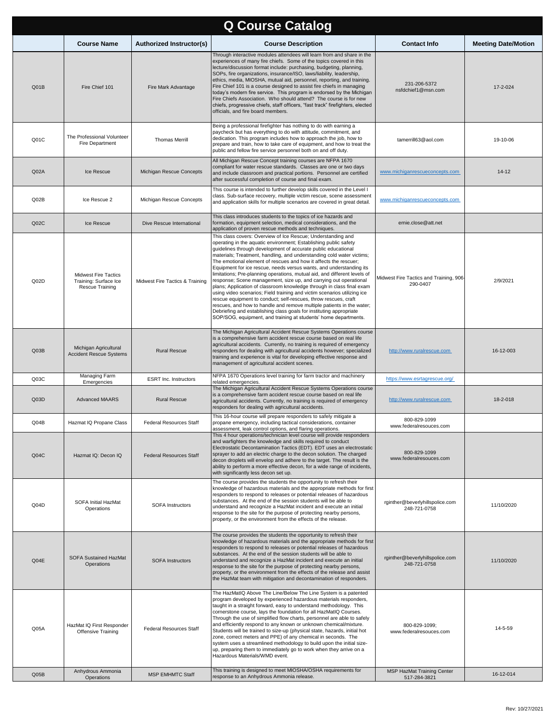| <b>Q Course Catalog</b> |                                                                         |                                 |                                                                                                                                                                                                                                                                                                                                                                                                                                                                                                                                                                                                                                                                                                                                                                                                                                                                                                                                                                                                                    |                                                     |                            |  |  |
|-------------------------|-------------------------------------------------------------------------|---------------------------------|--------------------------------------------------------------------------------------------------------------------------------------------------------------------------------------------------------------------------------------------------------------------------------------------------------------------------------------------------------------------------------------------------------------------------------------------------------------------------------------------------------------------------------------------------------------------------------------------------------------------------------------------------------------------------------------------------------------------------------------------------------------------------------------------------------------------------------------------------------------------------------------------------------------------------------------------------------------------------------------------------------------------|-----------------------------------------------------|----------------------------|--|--|
|                         | <b>Course Name</b>                                                      | Authorized Instructor(s)        | <b>Course Description</b>                                                                                                                                                                                                                                                                                                                                                                                                                                                                                                                                                                                                                                                                                                                                                                                                                                                                                                                                                                                          | <b>Contact Info</b>                                 | <b>Meeting Date/Motion</b> |  |  |
| Q <sub>01B</sub>        | Fire Chief 101                                                          | Fire Mark Advantage             | Through interactive modules attendees will learn from and share in the<br>experiences of many fire chiefs. Some of the topics covered in this<br>lecture/discussion format include: purchasing, budgeting, planning,<br>SOPs, fire organizations, insurance/ISO, laws/liability, leadership,<br>ethics, media, MIOSHA, mutual aid, personnel, reporting, and training.<br>Fire Chief 101 is a course designed to assist fire chiefs in managing<br>today's modern fire service. This program is endorsed by the Michigan<br>Fire Chiefs Association. Who should attend? The course is for new<br>chiefs, progressive chiefs, staff officers, "fast track" firefighters, elected<br>officials, and fire board members.                                                                                                                                                                                                                                                                                              | 231-206-5372<br>nsfdchief1@msn.com                  | 17-2-024                   |  |  |
| Q01C                    | The Professional Volunteer<br>Fire Department                           | <b>Thomas Merrill</b>           | Being a professional firefighter has nothing to do with earning a<br>paycheck but has everything to do with attitude, commitment, and<br>dedication. This program includes how to approach the job, how to<br>prepare and train, how to take care of equipment, and how to treat the<br>public and fellow fire service personnel both on and off duty.                                                                                                                                                                                                                                                                                                                                                                                                                                                                                                                                                                                                                                                             | tamerrill63@aol.com                                 | 19-10-06                   |  |  |
| Q02A                    | Ice Rescue                                                              | Michigan Rescue Concepts        | All Michigan Rescue Concept training courses are NFPA 1670<br>compliant for water rescue standards. Classes are one or two days<br>and include classroom and practical portions. Personnel are certified<br>after successful completion of course and final exam.                                                                                                                                                                                                                                                                                                                                                                                                                                                                                                                                                                                                                                                                                                                                                  | www.michiganrescueconcepts.com                      | $14 - 12$                  |  |  |
| QO2B                    | Ice Rescue 2                                                            | Michigan Rescue Concepts        | This course is intended to further develop skills covered in the Level I<br>class. Sub-surface recovery, multiple victim rescue, scene assessment<br>and application skills for multiple scenarios are covered in great detail.                                                                                                                                                                                                                                                                                                                                                                                                                                                                                                                                                                                                                                                                                                                                                                                    | www.michiganrescueconcepts.com                      |                            |  |  |
| Q02C                    | Ice Rescue                                                              | Dive Rescue International       | This class introduces students to the topics of ice hazards and<br>formation, equipment selection, medical considerations, and the<br>application of proven rescue methods and techniques.                                                                                                                                                                                                                                                                                                                                                                                                                                                                                                                                                                                                                                                                                                                                                                                                                         | ernie.close@att.net                                 |                            |  |  |
| Q02D                    | <b>Midwest Fire Tactics</b><br>Training: Surface Ice<br>Rescue Training | Midwest Fire Tactics & Training | This class covers: Overview of Ice Rescue; Understanding and<br>operating in the aquatic environment; Establishing public safety<br>guidelines through development of accurate public educational<br>materials; Treatment, handling, and understanding cold water victims;<br>The emotional element of rescues and how it affects the rescuer;<br>Equipment for ice rescue, needs versus wants, and understanding its<br>limitations; Pre-planning operations, mutual aid, and different levels of<br>response; Scene management, size up, and carrying out operational<br>plans; Application of classroom knowledge through in class final exam<br>using video scenarios; Field training and victim scenarios utilizing ice<br>rescue equipment to conduct; self-rescues, throw rescues, craft<br>rescues, and how to handle and remove multiple patients in the water;<br>Debriefing and establishing class goals for instituting appropriate<br>SOP/SOG, equipment, and training at students' home departments. | Midwest Fire Tactics and Training, 906-<br>290-0407 | 2/9/2021                   |  |  |
| Q03B                    | Michigan Agricultural<br><b>Accident Rescue Systems</b>                 | <b>Rural Rescue</b>             | The Michigan Agricultural Accident Rescue Systems Operations course<br>is a comprehensive farm accident rescue course based on real life<br>agricultural accidents. Currently, no training is required of emergency<br>responders for dealing with agricultural accidents however; specialized<br>training and experience is vital for developing effective response and<br>management of agricultural accident scenes.                                                                                                                                                                                                                                                                                                                                                                                                                                                                                                                                                                                            | http://www.ruralrescue.com                          | 16-12-003                  |  |  |
| Q <sub>03C</sub>        | Managing Farm<br>Emergencies                                            | <b>ESRT</b> Inc. Instructors    | NFPA 1670 Operations level training for farm tractor and machinery<br>related emergencies.                                                                                                                                                                                                                                                                                                                                                                                                                                                                                                                                                                                                                                                                                                                                                                                                                                                                                                                         | https://www.esrtagrescue.org/                       |                            |  |  |
| Q03D                    | <b>Advanced MAARS</b>                                                   | <b>Rural Rescue</b>             | The Michigan Agricultural Accident Rescue Systems Operations course<br>is a comprehensive farm accident rescue course based on real life<br>agricultural accidents. Currently, no training is required of emergency<br>responders for dealing with agricultural accidents.                                                                                                                                                                                                                                                                                                                                                                                                                                                                                                                                                                                                                                                                                                                                         | http://www.ruralrescue.com                          | 18-2-018                   |  |  |
| Q04B                    | Hazmat IQ Propane Class                                                 | <b>Federal Resources Staff</b>  | This 16-hour course will prepare responders to safely mitigate a<br>propane emergency, including tactical considerations, container<br>assessment, leak control options, and flaring operations.                                                                                                                                                                                                                                                                                                                                                                                                                                                                                                                                                                                                                                                                                                                                                                                                                   | 800-829-1099<br>www.federalresouces.com             |                            |  |  |
| Q <sub>04C</sub>        | Hazmat IQ: Decon IQ                                                     | <b>Federal Resources Staff</b>  | This 4 hour operations/technician level course will provide responders<br>and warfighters the knowledge and skills required to conduct<br>Electrostatic Decontamination Tactics (EDT). EDT uses an electrostatic<br>sprayer to add an electric charge to the decon solution. The charged<br>decon droplets will envelop and adhere to the target. The result is the<br>ability to perform a more effective decon, for a wide range of incidents,<br>with significantly less decon set up.                                                                                                                                                                                                                                                                                                                                                                                                                                                                                                                          | 800-829-1099<br>www.federalresouces.com             |                            |  |  |
| Q04D                    | SOFA Initial HazMat<br>Operations                                       | <b>SOFA Instructors</b>         | The course provides the students the opportunity to refresh their<br>knowledge of hazardous materials and the appropriate methods for first<br>responders to respond to releases or potential releases of hazardous<br>substances. At the end of the session students will be able to<br>understand and recognize a HazMat incident and execute an initial<br>response to the site for the purpose of protecting nearby persons,<br>property, or the environment from the effects of the release.                                                                                                                                                                                                                                                                                                                                                                                                                                                                                                                  | rginther@beverlyhillspolice.com<br>248-721-0758     | 11/10/2020                 |  |  |
| Q04E                    | SOFA Sustained HazMat<br>Operations                                     | <b>SOFA Instructors</b>         | The course provides the students the opportunity to refresh their<br>knowledge of hazardous materials and the appropriate methods for first<br>responders to respond to releases or potential releases of hazardous<br>substances. At the end of the session students will be able to<br>understand and recognize a HazMat incident and execute an initial<br>response to the site for the purpose of protecting nearby persons,<br>property, or the environment from the effects of the release and assist<br>the HazMat team with mitigation and decontamination of responders.                                                                                                                                                                                                                                                                                                                                                                                                                                  | rginther@beverlyhillspolice.com<br>248-721-0758     | 11/10/2020                 |  |  |
| Q <sub>05A</sub>        | HazMat IQ First Responder<br>Offensive Training                         | <b>Federal Resources Staff</b>  | The HazMatIQ Above The Line/Below The Line System is a patented<br>program developed by experienced hazardous materials responders,<br>taught in a straight forward, easy to understand methodology. This<br>cornerstone course, lays the foundation for all HazMatIQ Courses.<br>Through the use of simplified flow charts, personnel are able to safely<br>and efficiently respond to any known or unknown chemical/mixture.<br>Students will be trained to size-up (physical state, hazards, initial hot<br>zone, correct meters and PPE) of any chemical in seconds. The<br>system uses a streamlined methodology to build upon the initial size-<br>up, preparing them to immediately go to work when they arrive on a<br>Hazardous Materials/WMD event.<br>This training is designed to meet MIOSHA/OSHA requirements for                                                                                                                                                                                    | 800-829-1099;<br>www.federalresouces.com            | 14-5-59                    |  |  |
| Q05B                    | Anhydrous Ammonia<br>Operations                                         | <b>MSP EMHMTC Staff</b>         | response to an Anhydrous Ammonia release.                                                                                                                                                                                                                                                                                                                                                                                                                                                                                                                                                                                                                                                                                                                                                                                                                                                                                                                                                                          | MSP HazMat Training Center<br>517-284-3821          | 16-12-014                  |  |  |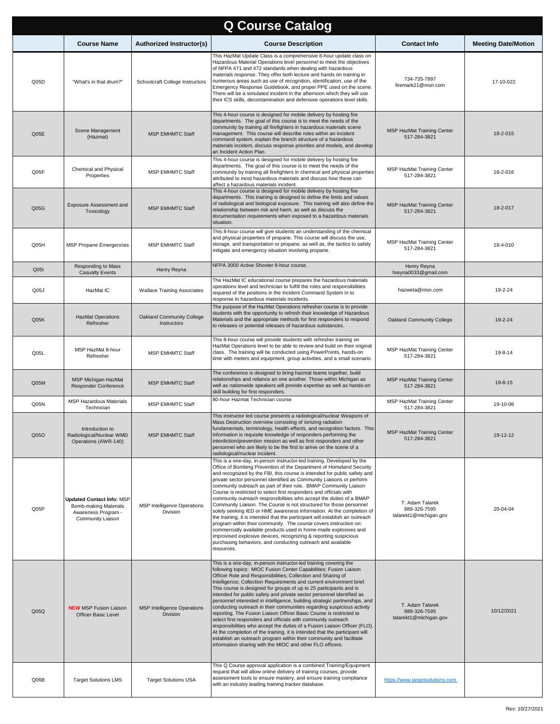| <b>Q Course Catalog</b> |                                                                                                              |                                                       |                                                                                                                                                                                                                                                                                                                                                                                                                                                                                                                                                                                                                                                                                                                                                                                                                                                                                                                                                                                                                                              |                                                           |                            |  |  |
|-------------------------|--------------------------------------------------------------------------------------------------------------|-------------------------------------------------------|----------------------------------------------------------------------------------------------------------------------------------------------------------------------------------------------------------------------------------------------------------------------------------------------------------------------------------------------------------------------------------------------------------------------------------------------------------------------------------------------------------------------------------------------------------------------------------------------------------------------------------------------------------------------------------------------------------------------------------------------------------------------------------------------------------------------------------------------------------------------------------------------------------------------------------------------------------------------------------------------------------------------------------------------|-----------------------------------------------------------|----------------------------|--|--|
|                         | <b>Course Name</b>                                                                                           | Authorized Instructor(s)                              | <b>Course Description</b>                                                                                                                                                                                                                                                                                                                                                                                                                                                                                                                                                                                                                                                                                                                                                                                                                                                                                                                                                                                                                    | <b>Contact Info</b>                                       | <b>Meeting Date/Motion</b> |  |  |
| Q05D                    | "What's in that drum?"                                                                                       | Schoolcraft College Instructors                       | This HazMat Update Class is a comprehensive 8-hour update class on<br>Hazardous Material Operations level personnel to meet the objectives<br>of NFPA 471 and 472 standards when dealing with hazardous<br>materials response. They offer both lecture and hands on training in<br>numerous areas such as use of recognition, identification, use of the<br>Emergency Response Guidebook, and proper PPE used on the scene.<br>There will be a simulated incident in the afternoon which they will use<br>their ICS skills, decontamination and defensive operations level skills.                                                                                                                                                                                                                                                                                                                                                                                                                                                           | 734-735-7997<br>firemark21@msn.com                        | 17-10-022                  |  |  |
| Q05E                    | Scene Management<br>(Hazmat)                                                                                 | <b>MSP EMHMTC Staff</b>                               | This 4-hour course is designed for mobile delivery by hosting fire<br>departments. The goal of this course is to meet the needs of the<br>community by training all firefighters in hazardous materials scene<br>management. This course will describe roles within an incident<br>command system, explain the branch structure of a hazardous<br>materials incident, discuss response priorities and models, and develop<br>an Incident Action Plan.                                                                                                                                                                                                                                                                                                                                                                                                                                                                                                                                                                                        | <b>MSP HazMat Training Center</b><br>517-284-3821         | 18-2-015                   |  |  |
| Q05F                    | Chemical and Physical<br>Properties                                                                          | <b>MSP EMHMTC Staff</b>                               | This 4-hour course is designed for mobile delivery by hosting fire<br>departments. The goal of this course is to meet the needs of the<br>community by training all firefighters in chemical and physical properties<br>attributed to most hazardous materials and discuss how these can<br>affect a hazardous materials incident.                                                                                                                                                                                                                                                                                                                                                                                                                                                                                                                                                                                                                                                                                                           | MSP HazMat Training Center<br>517-284-3821                | 18-2-016                   |  |  |
| Q05G                    | Exposure Assessment and<br>Toxicology                                                                        | <b>MSP EMHMTC Staff</b>                               | This 4-hour course is designed for mobile delivery by hosting fire<br>departments. This training is designed to define the limits and values<br>of radiological and biological exposure. This training will also define the<br>relationship between risk and harm, as well as discuss the<br>documentation requirements when exposed to a hazardous materials<br>situation.                                                                                                                                                                                                                                                                                                                                                                                                                                                                                                                                                                                                                                                                  | <b>MSP HazMat Training Center</b><br>517-284-3821         | 18-2-017                   |  |  |
| Q05H                    | <b>MSP Propane Emergencies</b>                                                                               | MSP EMHMTC Staff                                      | This 8-hour course will give students an understanding of the chemical<br>and physical properties of propane. This course will discuss the use,<br>storage, and transportation or propane, as well as, the tactics to safely<br>mitigate and emergency situation involving propane.                                                                                                                                                                                                                                                                                                                                                                                                                                                                                                                                                                                                                                                                                                                                                          | MSP HazMat Training Center<br>517-284-3821                | 18-4-010                   |  |  |
| Q051                    | Responding to Mass<br><b>Casualty Events</b>                                                                 | Henry Reyna                                           | NFPA 3000 Active Shooter 8-hour course.                                                                                                                                                                                                                                                                                                                                                                                                                                                                                                                                                                                                                                                                                                                                                                                                                                                                                                                                                                                                      | Henry Reyna<br>hreyna0033@gmail.com                       |                            |  |  |
| Q <sub>05J</sub>        | HazMat IC                                                                                                    | <b>Wallace Training Associates</b>                    | The HazMat IC educational course prepares the hazardous materials<br>operations level and technician to fulfill the roles and responsibilities<br>required of the positions in the Incident Command System in to<br>response to hazardous materials incidents.                                                                                                                                                                                                                                                                                                                                                                                                                                                                                                                                                                                                                                                                                                                                                                               | hazweta@msn.com                                           | 19-2-24                    |  |  |
| Q05K                    | <b>HazMat Operations</b><br>Refresher                                                                        | Oakland Community College<br>Instructors              | The purpose of the HazMat Operations refresher course is to provide<br>students with the opportunity to refresh their knowledge of Hazardous<br>Materials and the appropriate methods for first responders to respond<br>to releases or potential releases of hazardous substances.                                                                                                                                                                                                                                                                                                                                                                                                                                                                                                                                                                                                                                                                                                                                                          | <b>Oakland Community College</b>                          | 19-2-24                    |  |  |
| Q05L                    | MSP HazMat 8-hour<br>Refresher                                                                               | <b>MSP EMHMTC Staff</b>                               | This 8-hour course will provide students with refresher training on<br>HazMat Operations level to be able to review and build on their original<br>class. The training will be conducted using PowerPoints, hands-on<br>time with meters and equipment, group activities, and a small scenario.                                                                                                                                                                                                                                                                                                                                                                                                                                                                                                                                                                                                                                                                                                                                              | MSP HazMat Training Center<br>517-284-3821                | 19-8-14                    |  |  |
| Q05M                    | MSP Michigan HazMat<br><b>Responder Conference</b>                                                           | <b>MSP EMHMTC Staff</b>                               | The conference is designed to bring hazmat teams together, build<br>relationships and reliance an one another. Those within Michigan as<br>well as nationwide speakers will provide expertise as well as hands-on<br>skill building for first responders.                                                                                                                                                                                                                                                                                                                                                                                                                                                                                                                                                                                                                                                                                                                                                                                    | <b>MSP HazMat Training Center</b><br>517-284-3821         | 19-8-15                    |  |  |
| Q <sub>05N</sub>        | <b>MSP Hazardous Materials</b><br>Technician                                                                 | MSP EMHMTC Staff                                      | 80-hour Hazmat Technician course                                                                                                                                                                                                                                                                                                                                                                                                                                                                                                                                                                                                                                                                                                                                                                                                                                                                                                                                                                                                             | MSP HazMat Training Center<br>517-284-3821                | 19-10-08                   |  |  |
| Q05O                    | Introduction to<br>Radiological/Nuclear WMD<br>Operations (AWR-140)                                          | <b>MSP EMHMTC Staff</b>                               | This instructor led course presents a radiological/nuclear Weapons of<br>Mass Destruction overview consisting of ionizing radiation<br>fundamentals, terminology, health effects, and recognition factors. This<br>information is requisite knowledge of responders performing the<br>interdiction/prevention mission as well as first responders and other<br>personnel who are likely to be the first to arrive on the scene of a<br>radiological/nuclear incident.                                                                                                                                                                                                                                                                                                                                                                                                                                                                                                                                                                        | MSP HazMat Training Center<br>517-284-3821                | 19-12-12                   |  |  |
| Q05P                    | <b>Updated Contact Info: MSP</b><br><b>Bomb-making Materials</b><br>Awareness Program -<br>Community Liaison | MSP Intelligence Operations<br>Division               | This is a one-day, in-person instructor-led training. Developed by the<br>Office of Bombing Prevention of the Department of Homeland Security<br>and recognized by the FBI, this course is intended for public safety and<br>private sector personnel identified as Community Liaisons or perform<br>community outreach as part of their role. BMAP Community Liaison<br>Course is restricted to select first responders and officials with<br>community outreach responsibilities who accept the duties of a BMAP<br>Community Liaison. The Course is not structured for those personnel<br>solely seeking IED or HME awareness information. At the completion of<br>the training, it is intended that the participant will establish an outreach<br>program within their community. The course covers instruction on:<br>commercially available products used in home-made explosives and<br>improvised explosive devices, recognizing & reporting suspicious<br>purchasing behaviors, and conducting outreach and available<br>resources. | T. Adam Talarek<br>989-326-7595<br>talarekt1@michigan.gov | 20-04-04                   |  |  |
| Q05Q                    | <b>NEW MSP Fusion Liaison</b><br><b>Officer Basic Level</b>                                                  | <b>MSP Intelligence Operations</b><br><b>Division</b> | This is a one-day, in-person instructor-led training covering the<br>following topics: MIOC Fusion Center Capabilities; Fusion Liaison<br>Officer Role and Responsibilities; Collection and Sharing of<br>Intelligence; Collection Requirements and current environment brief.<br>This course is designed for groups of up to 25 participants and is<br>intended for public safety and private sector personnel identified as<br>personnel interested in intelligence, building strategic partnerships, and<br>conducting outreach in their communities regarding suspicious activity<br>reporting. The Fusion Liaison Officer Basic Course is restricted to<br>select first responders and officials with community outreach<br>responsibilities who accept the duties of a Fusion Liaison Officer (FLO).<br>At the completion of the training, it is intended that the participant will<br>establish an outreach program within their community and facilitate<br>information sharing with the MIOC and other FLO officers.                | T. Adam Talarek<br>989-326-7595<br>talarekt1@michigan.gov | 10/12/2021                 |  |  |
| Q06B                    | <b>Target Solutions LMS</b>                                                                                  | <b>Target Solutions USA</b>                           | This Q Course approval application is a combined Training/Equipment<br>request that will allow online delivery of training courses, provide<br>assessment tools to ensure mastery, and ensure training compliance<br>with an industry leading training tracker database.                                                                                                                                                                                                                                                                                                                                                                                                                                                                                                                                                                                                                                                                                                                                                                     | https://www.targetsolutions.com                           |                            |  |  |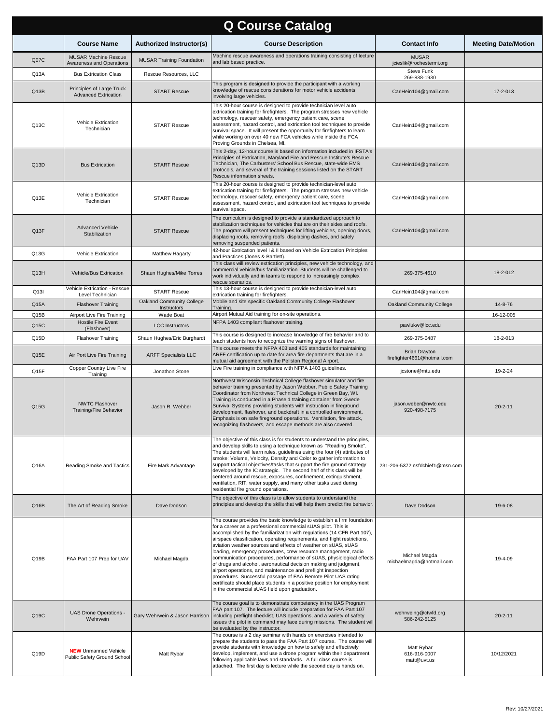| <b>Q Course Catalog</b> |                                                             |                                                       |                                                                                                                                                                                                                                                                                                                                                                                                                                                                                                                                                                                                                                                                                                                                                                                                                                             |                                                     |                            |  |
|-------------------------|-------------------------------------------------------------|-------------------------------------------------------|---------------------------------------------------------------------------------------------------------------------------------------------------------------------------------------------------------------------------------------------------------------------------------------------------------------------------------------------------------------------------------------------------------------------------------------------------------------------------------------------------------------------------------------------------------------------------------------------------------------------------------------------------------------------------------------------------------------------------------------------------------------------------------------------------------------------------------------------|-----------------------------------------------------|----------------------------|--|
|                         | <b>Course Name</b>                                          | <b>Authorized Instructor(s)</b>                       | <b>Course Description</b>                                                                                                                                                                                                                                                                                                                                                                                                                                                                                                                                                                                                                                                                                                                                                                                                                   | <b>Contact Info</b>                                 | <b>Meeting Date/Motion</b> |  |
| Q07C                    | <b>MUSAR Machine Rescue</b><br>Awareness and Operations     | <b>MUSAR Training Foundation</b>                      | Machine rescue awareness and operations training consisting of lecture<br>and lab based practice.                                                                                                                                                                                                                                                                                                                                                                                                                                                                                                                                                                                                                                                                                                                                           | <b>MUSAR</b><br>jcieslik@rochestermi.org            |                            |  |
| Q13A                    | <b>Bus Extrication Class</b>                                | Rescue Resources, LLC                                 |                                                                                                                                                                                                                                                                                                                                                                                                                                                                                                                                                                                                                                                                                                                                                                                                                                             | Steve Funk<br>269-838-1930                          |                            |  |
| Q13B                    | Principles of Large Truck<br>Advanced Extrication           | <b>START Rescue</b>                                   | This program is designed to provide the participant with a working<br>knowledge of rescue considerations for motor vehicle accidents<br>involving large vehicles.                                                                                                                                                                                                                                                                                                                                                                                                                                                                                                                                                                                                                                                                           | CarlHein104@gmail.com                               | 17-2-013                   |  |
| Q13C                    | Vehicle Extrication<br>Technician                           | <b>START Rescue</b>                                   | This 20-hour course is designed to provide technician level auto<br>extrication training for firefighters. The program stresses new vehicle<br>technology, rescuer safety, emergency patient care, scene<br>assessment, hazard control, and extrication tool techniques to provide<br>survival space. It will present the opportunity for firefighters to learn<br>while working on over 40 new FCA vehicles while inside the FCA<br>Proving Grounds in Chelsea, MI.                                                                                                                                                                                                                                                                                                                                                                        | CarlHein104@gmail.com                               |                            |  |
| Q13D                    | <b>Bus Extrication</b>                                      | <b>START Rescue</b>                                   | This 2-day, 12-hour course is based on information included in IFSTA's<br>Principles of Extrication, Maryland Fire and Rescue Institute's Rescue<br>Technician, The Carbusters' School Bus Rescue, state-wide EMS<br>protocols, and several of the training sessions listed on the START<br>Rescue information sheets.                                                                                                                                                                                                                                                                                                                                                                                                                                                                                                                      | CarlHein104@gmail.com                               |                            |  |
| Q13E                    | Vehicle Extrication<br>Technician                           | <b>START Rescue</b>                                   | This 20-hour course is designed to provide technician-level auto<br>extrication training for firefighters. The program stresses new vehicle<br>technology, rescuer safety, emergency patient care, scene<br>assessment, hazard control, and extrication tool techniques to provide<br>survival space.                                                                                                                                                                                                                                                                                                                                                                                                                                                                                                                                       | CarlHein104@gmail.com                               |                            |  |
| Q13F                    | <b>Advanced Vehicle</b><br>Stabilization                    | <b>START Rescue</b>                                   | The curriculum is designed to provide a standardized approach to<br>stabilization techniques for vehicles that are on their sides and roofs.<br>The program will present techniques for lifting vehicles, opening doors,<br>displacing roofs, removing roofs, displacing dashes, and safely<br>removing suspended patients.                                                                                                                                                                                                                                                                                                                                                                                                                                                                                                                 | CarlHein104@gmail.com                               |                            |  |
| Q13G                    | Vehicle Extrication                                         | Matthew Hagarty                                       | 42-hour Extrication level I & II based on Vehicle Extrication Principles<br>and Practices (Jones & Bartlett).                                                                                                                                                                                                                                                                                                                                                                                                                                                                                                                                                                                                                                                                                                                               |                                                     |                            |  |
| Q13H                    | Vehicle/Bus Extrication                                     | Shaun Hughes/Mike Torres                              | This class will review extrication principles, new vehicle technology, and<br>commercial vehicle/bus familiarization. Students will be challenged to<br>work individually and in teams to respond to increasingly complex<br>rescue scenarios.                                                                                                                                                                                                                                                                                                                                                                                                                                                                                                                                                                                              | 269-375-4610                                        | 18-2-012                   |  |
| Q13I                    | Vehicle Extrication - Rescue<br>Level Technician            | <b>START Rescue</b>                                   | This 13-hour course is designed to provide technician-level auto<br>extrication training for firefighters.                                                                                                                                                                                                                                                                                                                                                                                                                                                                                                                                                                                                                                                                                                                                  | CarlHein104@gmail.com                               |                            |  |
| Q15A                    | <b>Flashover Training</b>                                   | Oakland Community College<br>Instructors              | Mobile and site specific Oakland Community College Flashover<br>Training.                                                                                                                                                                                                                                                                                                                                                                                                                                                                                                                                                                                                                                                                                                                                                                   | Oakland Community College                           | 14-8-76                    |  |
| Q15B                    | Airport Live Fire Training<br><b>Hostile Fire Event</b>     | Wade Boat                                             | Airport Mutual Aid training for on-site operations.<br>NFPA 1403 compliant flashover training.                                                                                                                                                                                                                                                                                                                                                                                                                                                                                                                                                                                                                                                                                                                                              |                                                     | 16-12-005                  |  |
| Q15C<br>Q15D            | (Flashover)<br><b>Flashover Training</b>                    | <b>LCC</b> Instructors<br>Shaun Hughes/Eric Burghardt | This course is designed to increase knowledge of fire behavior and to                                                                                                                                                                                                                                                                                                                                                                                                                                                                                                                                                                                                                                                                                                                                                                       | pawlukw@lcc.edu<br>269-375-0487                     | 18-2-013                   |  |
| Q15E                    | Air Port Live Fire Training                                 | <b>ARFF Specialists LLC</b>                           | teach students how to recognize the warning signs of flashover.<br>This course meets the NFPA 403 and 405 standards for maintaining<br>ARFF certification up to date for area fire departments that are in a                                                                                                                                                                                                                                                                                                                                                                                                                                                                                                                                                                                                                                | <b>Brian Drayton</b><br>firefighter4661@hotmail.com |                            |  |
| Q15F                    | Copper Country Live Fire                                    | Jonathon Stone                                        | mutual aid agreement with the Pellston Regional Airport.<br>Live Fire training in compliance with NFPA 1403 quidelines.                                                                                                                                                                                                                                                                                                                                                                                                                                                                                                                                                                                                                                                                                                                     | jcstone@mtu.edu                                     | 19-2-24                    |  |
| Q15G                    | Training<br><b>NWTC Flashover</b><br>Training/Fire Behavior | Jason R. Webber                                       | Northwest Wisconsin Technical College flashover simulator and fire<br>behavior training presented by Jason Webber, Public Safety Training<br>Coordinator from Northwest Technical College in Green Bay, WI.<br>Training is conducted in a Phase 1 training container from Swede<br>Survival Systems providing students with instruction in fireground<br>development, flashover, and backdraft in a controlled environment.<br>Emphasis is on safe fireground operations. Ventilation, fire attack,<br>recognizing flashovers, and escape methods are also covered.                                                                                                                                                                                                                                                                         | jason.weber@nwtc.edu<br>920-498-7175                | $20 - 2 - 11$              |  |
| Q16A                    | Reading Smoke and Tactics                                   | Fire Mark Advantage                                   | The objective of this class is for students to understand the principles,<br>and develop skills to using a technique known as "Reading Smoke".<br>The students will learn rules, guidelines using the four (4) attributes of<br>smoke: Volume, Velocity, Density and Color to gather information to<br>support tactical objectives/tasks that support the fire ground strategy<br>developed by the IC strategic. The second half of this class will be<br>centered around rescue, exposures, confinement, extinguishment,<br>ventilation, RIT, water supply, and many other tasks used during<br>residential fire ground operations.                                                                                                                                                                                                        | 231-206-5372 nsfdchief1@msn.com                     |                            |  |
| Q16B                    | The Art of Reading Smoke                                    | Dave Dodson                                           | The objective of this class is to allow students to understand the<br>principles and develop the skills that will help them predict fire behavior.                                                                                                                                                                                                                                                                                                                                                                                                                                                                                                                                                                                                                                                                                          | Dave Dodson                                         | 19-6-08                    |  |
| Q19B                    | FAA Part 107 Prep for UAV                                   | Michael Magda                                         | The course provides the basic knowledge to establish a firm foundation<br>for a career as a professional commercial sUAS pilot. This is<br>accomplished by the familiarization with regulations (14 CFR Part 107),<br>airspace classification, operating requirements, and flight restrictions,<br>aviation weather sources and effects of weather on sUAS, sUAS<br>loading, emergency procedures, crew resource management, radio<br>communication procedures, performance of sUAS, physiological effects<br>of drugs and alcohol, aeronautical decision making and judgment,<br>airport operations, and maintenance and preflight inspection<br>procedures. Successful passage of FAA Remote Pilot UAS rating<br>certificate should place students in a positive position for employment<br>in the commercial sUAS field upon graduation. | Michael Magda<br>michaelmagda@hotmail.com           | 19-4-09                    |  |
| Q19C                    | UAS Drone Operations -<br>Wehrwein                          |                                                       | The course goal is to demonstrate competency in the UAS Program<br>FAA part 107. The lecture will include preparation for FAA Part 107<br>Gary Wehrwein & Jason Harrison including preflight checklist, UAS operations, and a variety of safety<br>issues the pilot in command may face during missions. The student will<br>be evaluated by the instructor.                                                                                                                                                                                                                                                                                                                                                                                                                                                                                | wehrweing@ctwfd.org<br>586-242-5125                 | $20 - 2 - 11$              |  |
| Q19D                    | <b>NEW</b> Unmanned Vehicle<br>Public Safety Ground School  | Matt Rybar                                            | The course is a 2 day seminar with hands on exercises intended to<br>prepare the students to pass the FAA Part 107 course. The course will<br>provide students with knowledge on how to safely and effectively<br>develop, implement, and use a drone program within their department<br>following applicable laws and standards. A full class course is<br>attached. The first day is lecture while the second day is hands on.                                                                                                                                                                                                                                                                                                                                                                                                            | Matt Rybar<br>616-916-0007<br>matt@uvt.us           | 10/12/2021                 |  |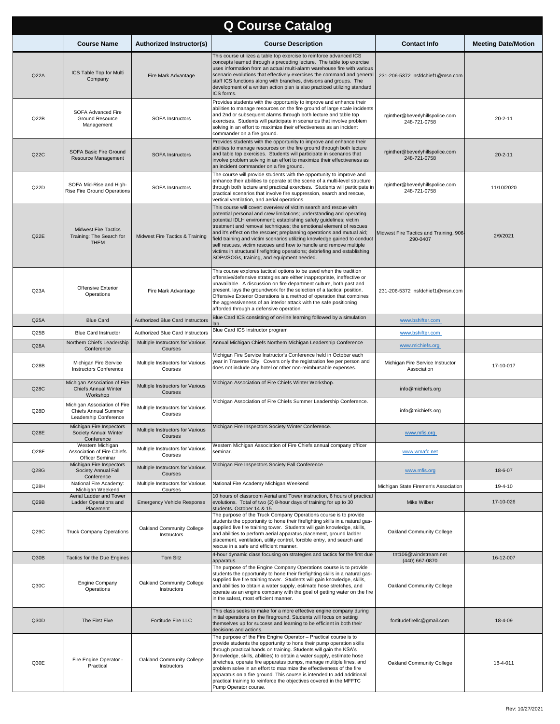| <b>Q Course Catalog</b> |                                                                               |                                             |                                                                                                                                                                                                                                                                                                                                                                                                                                                                                                                                                                                                                                                |                                                     |                            |  |
|-------------------------|-------------------------------------------------------------------------------|---------------------------------------------|------------------------------------------------------------------------------------------------------------------------------------------------------------------------------------------------------------------------------------------------------------------------------------------------------------------------------------------------------------------------------------------------------------------------------------------------------------------------------------------------------------------------------------------------------------------------------------------------------------------------------------------------|-----------------------------------------------------|----------------------------|--|
|                         | <b>Course Name</b>                                                            | Authorized Instructor(s)                    | <b>Course Description</b>                                                                                                                                                                                                                                                                                                                                                                                                                                                                                                                                                                                                                      | <b>Contact Info</b>                                 | <b>Meeting Date/Motion</b> |  |
| Q22A                    | ICS Table Top for Multi<br>Company                                            | Fire Mark Advantage                         | This course utilizes a table top exercise to reinforce advanced ICS<br>concepts learned through a preceding lecture. The table top exercise<br>uses information from an actual multi-alarm warehouse fire with various<br>scenario evolutions that effectively exercises the command and general<br>staff ICS functions along with branches, divisions and groups. The<br>development of a written action plan is also practiced utilizing standard<br>ICS forms.                                                                                                                                                                              | 231-206-5372 nsfdchief1@msn.com                     |                            |  |
| Q22B                    | SOFA Advanced Fire<br>Ground Resource<br>Management                           | <b>SOFA Instructors</b>                     | Provides students with the opportunity to improve and enhance their<br>abilities to manage resources on the fire ground of large scale incidents<br>and 2nd or subsequent alarms through both lecture and table top<br>exercises. Students will participate in scenarios that involve problem<br>solving in an effort to maximize their effectiveness as an incident<br>commander on a fire ground.                                                                                                                                                                                                                                            | rginther@beverlyhillspolice.com<br>248-721-0758     | $20 - 2 - 11$              |  |
| Q22C                    | SOFA Basic Fire Ground<br>Resource Management                                 | <b>SOFA Instructors</b>                     | Provides students with the opportunity to improve and enhance their<br>abilities to manage resources on the fire ground through both lecture<br>and table top exercises. Students will participate in scenarios that<br>involve problem solving in an effort to maximize their effectiveness as<br>an incident commander on a fire ground.                                                                                                                                                                                                                                                                                                     | rginther@beverlyhillspolice.com<br>248-721-0758     | $20 - 2 - 11$              |  |
| Q22D                    | SOFA Mid-Rise and High-<br>Rise Fire Ground Operations                        | <b>SOFA Instructors</b>                     | The course will provide students with the opportunity to improve and<br>enhance their abilities to operate at the scene of a multi-level structure<br>through both lecture and practical exercises. Students will participate in<br>practical scenarios that involve fire suppression, search and rescue,<br>vertical ventilation, and aerial operations.                                                                                                                                                                                                                                                                                      | rginther@beverlyhillspolice.com<br>248-721-0758     | 11/10/2020                 |  |
| Q22E                    | <b>Midwest Fire Tactics</b><br>Training: The Search for<br><b>THEM</b>        | Midwest Fire Tactics & Training             | This course will cover: overview of victim search and rescue with<br>potential personal and crew limitations; understanding and operating<br>potential IDLH environment; establishing safety guidelines; victim<br>treatment and removal techniques; the emotional element of rescues<br>and it's effect on the rescuer; preplanning operations and mutual aid;<br>field training and victim scenarios utilizing knowledge gained to conduct<br>self rescues, victim rescues and how to handle and remove multiple<br>victims in structural firefighting operations; debriefing and establishing<br>SOPs/SOGs, training, and equipment needed. | Midwest Fire Tactics and Training, 906-<br>290-0407 | 2/9/2021                   |  |
| Q23A                    | Offensive Exterior<br>Operations                                              | Fire Mark Advantage                         | This course explores tactical options to be used when the tradition<br>offensive/defensive strategies are either inappropriate, ineffective or<br>unavailable. A discussion on fire department culture, both past and<br>present, lays the groundwork for the selection of a tactical position.<br>Offensive Exterior Operations is a method of operation that combines<br>the aggressiveness of an interior attack with the safe positioning<br>afforded through a defensive operation.                                                                                                                                                       | 231-206-5372 nsfdchief1@msn.com                     |                            |  |
| Q25A                    | <b>Blue Card</b>                                                              | Authorized Blue Card Instructors            | Blue Card ICS consisting of on-line learning followed by a simulation<br>lab.                                                                                                                                                                                                                                                                                                                                                                                                                                                                                                                                                                  | www.bshifter.com                                    |                            |  |
| Q25B                    | <b>Blue Card Instructor</b>                                                   | Authorized Blue Card Instructors            | Blue Card ICS Instructor program                                                                                                                                                                                                                                                                                                                                                                                                                                                                                                                                                                                                               | www.bshifter.com                                    |                            |  |
| Q28A                    | Northern Chiefs Leadership<br>Conference                                      | Multiple Instructors for Various<br>Courses | Annual Michigan Chiefs Northern Michigan Leadership Conference                                                                                                                                                                                                                                                                                                                                                                                                                                                                                                                                                                                 | www.michiefs.org                                    |                            |  |
| Q28B                    | Michigan Fire Service<br><b>Instructors Conference</b>                        | Multiple Instructors for Various<br>Courses | Michigan Fire Service Instructor's Conference held in October each<br>year in Traverse City. Covers only the registration fee per person and<br>does not include any hotel or other non-reimbursable expenses.                                                                                                                                                                                                                                                                                                                                                                                                                                 | Michigan Fire Service Instructor<br>Association     | 17-10-017                  |  |
| Q28C                    | Michigan Association of Fire<br><b>Chiefs Annual Winter</b><br>Workshop       | Multiple Instructors for Various<br>Courses | Michigan Association of Fire Chiefs Winter Workshop.                                                                                                                                                                                                                                                                                                                                                                                                                                                                                                                                                                                           | info@michiefs.org                                   |                            |  |
| Q28D                    | Michigan Association of Fire<br>Chiefs Annual Summer<br>Leadership Conference | Multiple Instructors for Various<br>Courses | Michigan Association of Fire Chiefs Summer Leadership Conference.                                                                                                                                                                                                                                                                                                                                                                                                                                                                                                                                                                              | info@michiefs.org                                   |                            |  |
| Q28E                    | Michigan Fire Inspectors<br>Society Annual Winter<br>Conference               | Multiple Instructors for Various<br>Courses | Michigan Fire Inspectors Society Winter Conference.                                                                                                                                                                                                                                                                                                                                                                                                                                                                                                                                                                                            | www.mfis.org                                        |                            |  |
| Q28F                    | Western Michigan<br>Association of Fire Chiefs<br>Officer Seminar             | Multiple Instructors for Various<br>Courses | Western Michigan Association of Fire Chiefs annual company officer<br>seminar.                                                                                                                                                                                                                                                                                                                                                                                                                                                                                                                                                                 | www.wmafc.net                                       |                            |  |
| Q28G                    | Michigan Fire Inspectors<br>Society Annual Fall<br>Conference                 | Multiple Instructors for Various<br>Courses | Michigan Fire Inspectors Society Fall Conference                                                                                                                                                                                                                                                                                                                                                                                                                                                                                                                                                                                               | www.mfis.org                                        | 18-6-07                    |  |
| Q28H                    | National Fire Academy:<br>Michigan Weekend                                    | Multiple Instructors for Various<br>Courses | National Fire Academy Michigan Weekend                                                                                                                                                                                                                                                                                                                                                                                                                                                                                                                                                                                                         | Michigan State Firemen's Association                | 19-4-10                    |  |
| Q29B                    | Aerial Ladder and Tower<br>Ladder Operations and<br>Placement                 | <b>Emergency Vehicle Response</b>           | 10 hours of classroom Aerial and Tower instruction, 6 hours of practical<br>evolutions. Total of two (2) 8-hour days of training for up to 30<br>students. October 14 & 15                                                                                                                                                                                                                                                                                                                                                                                                                                                                     | Mike Wilber                                         | 17-10-026                  |  |
| Q29C                    | <b>Truck Company Operations</b>                                               | Oakland Community College<br>Instructors    | The purpose of the Truck Company Operations course is to provide<br>students the opportunity to hone their firefighting skills in a natural gas-<br>supplied live fire training tower. Students will gain knowledge, skills,<br>and abilities to perform aerial apparatus placement, ground ladder<br>placement, ventilation, utility control, forcible entry, and search and<br>rescue in a safe and efficient manner.                                                                                                                                                                                                                        | Oakland Community College                           |                            |  |
| Q30B                    | Tactics for the Due Engines                                                   | Tom Sitz                                    | 4-hour dynamic class focusing on strategies and tactics for the first due<br>apparatus.                                                                                                                                                                                                                                                                                                                                                                                                                                                                                                                                                        | tnt106@windstream.net<br>(440) 667-0870             | 16-12-007                  |  |
| Q30C                    | Engine Company<br>Operations                                                  | Oakland Community College<br>Instructors    | The purpose of the Engine Company Operations course is to provide<br>students the opportunity to hone their firefighting skills in a natural gas-<br>supplied live fire training tower. Students will gain knowledge, skills,<br>and abilities to obtain a water supply, estimate hose stretches, and<br>operate as an engine company with the goal of getting water on the fire<br>in the safest, most efficient manner.                                                                                                                                                                                                                      | Oakland Community College                           |                            |  |
| Q30D                    | The First Five                                                                | Fortitude Fire LLC                          | This class seeks to make for a more effective engine company during<br>initial operations on the fireground. Students will focus on setting<br>themselves up for success and learning to be efficient in both their<br>decisions and actions.                                                                                                                                                                                                                                                                                                                                                                                                  | fortitudefirellc@gmail.com                          | 18-4-09                    |  |
| Q30E                    | Fire Engine Operator -<br>Practical                                           | Oakland Community College<br>Instructors    | The purpose of the Fire Engine Operator - Practical course is to<br>provide students the opportunity to hone their pump operation skills<br>through practical hands on training. Students will gain the KSA's<br>(knowledge, skills, abilities) to obtain a water supply, estimate hose<br>stretches, operate fire apparatus pumps, manage multiple lines, and<br>problem solve in an effort to maximize the effectiveness of the fire<br>apparatus on a fire ground. This course is intended to add additional<br>practical training to reinforce the objectives covered in the MFFTC<br>Pump Operator course.                                | Oakland Community College                           | 18-4-011                   |  |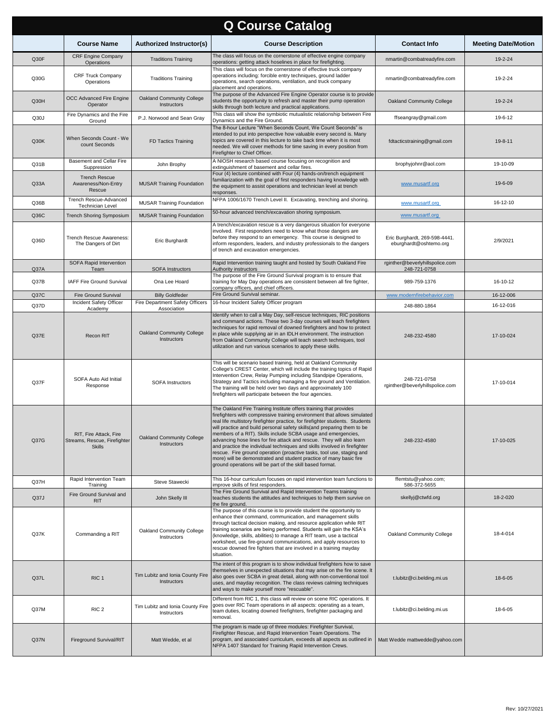| <b>Q Course Catalog</b> |                                                                         |                                                           |                                                                                                                                                                                                                                                                                                                                                                                                                                                                                                                                                                                                                                                                                                                                               |                                                         |                            |  |
|-------------------------|-------------------------------------------------------------------------|-----------------------------------------------------------|-----------------------------------------------------------------------------------------------------------------------------------------------------------------------------------------------------------------------------------------------------------------------------------------------------------------------------------------------------------------------------------------------------------------------------------------------------------------------------------------------------------------------------------------------------------------------------------------------------------------------------------------------------------------------------------------------------------------------------------------------|---------------------------------------------------------|----------------------------|--|
|                         | <b>Course Name</b>                                                      | <b>Authorized Instructor(s)</b>                           | <b>Course Description</b>                                                                                                                                                                                                                                                                                                                                                                                                                                                                                                                                                                                                                                                                                                                     | <b>Contact Info</b>                                     | <b>Meeting Date/Motion</b> |  |
| Q30F                    | <b>CRF Engine Company</b><br>Operations                                 | <b>Traditions Training</b>                                | The class will focus on the cornerstone of effective engine company<br>operations: getting attack hoselines in place for firefighting.                                                                                                                                                                                                                                                                                                                                                                                                                                                                                                                                                                                                        | nmartin@combatreadyfire.com                             | 19-2-24                    |  |
| Q30G                    | <b>CRF Truck Company</b><br>Operations                                  | <b>Traditions Training</b>                                | This class will focus on the cornerstone of effective truck company<br>operations including: forcible entry techniques, ground ladder<br>operations, search operations, ventilation, and truck company<br>placement and operations.                                                                                                                                                                                                                                                                                                                                                                                                                                                                                                           | nmartin@combatreadyfire.com                             | 19-2-24                    |  |
| Q30H                    | OCC Advanced Fire Engine<br>Operator                                    | <b>Oakland Community College</b><br>Instructors           | The purpose of the Advanced Fire Engine Operator course is to provide<br>students the opportunity to refresh and master their pump operation<br>skills through both lecture and practical applications.                                                                                                                                                                                                                                                                                                                                                                                                                                                                                                                                       | Oakland Community College                               | 19-2-24                    |  |
| Q30J                    | Fire Dynamics and the Fire<br>Ground                                    | P.J. Norwood and Sean Gray                                | This class will show the symbiotic mutualistic relationship between Fire<br>Dynamics and the Fire Ground.                                                                                                                                                                                                                                                                                                                                                                                                                                                                                                                                                                                                                                     | ffseangray@gmail.com                                    | 19-6-12                    |  |
| Q30K                    | When Seconds Count - We<br>count Seconds                                | FD Tactics Training                                       | The 8-hour Lecture "When Seconds Count, We Count Seconds" is<br>intended to put into perspective how valuable every second is. Many<br>topics are covered in this lecture to take back time when it is most<br>needed. We will cover methods for time saving in every position from<br>Firefighter to Chief Officer.                                                                                                                                                                                                                                                                                                                                                                                                                          | fdtacticstraining@gmail.com                             | $19 - 8 - 11$              |  |
| Q31B                    | Basement and Cellar Fire<br>Suppression                                 | John Brophy                                               | A NIOSH research based course focusing on recognition and<br>extinguishment of basement and cellar fires.                                                                                                                                                                                                                                                                                                                                                                                                                                                                                                                                                                                                                                     | brophyjohnr@aol.com                                     | 19-10-09                   |  |
| Q33A                    | <b>Trench Rescue</b><br>Awareness/Non-Entry<br>Rescue                   | <b>MUSAR Training Foundation</b>                          | Four (4) lecture combined with Four (4) hands-on/trench equipment<br>familiarization with the goal of first responders having knowledge with<br>the equipment to assist operations and technician level at trench<br>responses.                                                                                                                                                                                                                                                                                                                                                                                                                                                                                                               | www.musartf.org                                         | 19-6-09                    |  |
| Q36B                    | Trench Rescue-Advanced<br><b>Technician Level</b>                       | <b>MUSAR Training Foundation</b>                          | NFPA 1006/1670 Trench Level II. Excavating, trenching and shoring.                                                                                                                                                                                                                                                                                                                                                                                                                                                                                                                                                                                                                                                                            | www.musartf.org                                         | 16-12-10                   |  |
| Q36C                    | <b>Trench Shoring Symposium</b>                                         | <b>MUSAR Training Foundation</b>                          | 50-hour advanced trench/excavation shoring symposium.                                                                                                                                                                                                                                                                                                                                                                                                                                                                                                                                                                                                                                                                                         | www.musartf.org                                         |                            |  |
| Q36D                    | Trench Rescue Awareness:<br>The Dangers of Dirt                         | Eric Burghardt                                            | A trench/excavation rescue is a very dangerous situation for everyone<br>involved. First responders need to know what those dangers are<br>before they respond to an emergency. This course is designed to<br>inform responders, leaders, and industry professionals to the dangers<br>of trench and excavation emergencies.                                                                                                                                                                                                                                                                                                                                                                                                                  | Eric Burghardt, 269-598-4441.<br>eburghardt@oshtemo.org | 2/9/2021                   |  |
| Q37A                    | SOFA Rapid Intervention<br>Team                                         | <b>SOFA Instructors</b>                                   | Rapid Intervention training taught and hosted by South Oakland Fire<br>Authority instructors                                                                                                                                                                                                                                                                                                                                                                                                                                                                                                                                                                                                                                                  | rginther@beverlyhillspolice.com<br>248-721-0758         |                            |  |
| Q37B                    | IAFF Fire Ground Survival                                               | Ona Lee Hoard                                             | The purpose of the Fire Ground Survival program is to ensure that<br>training for May Day operations are consistent between all fire fighter,<br>company officers, and chief officers.                                                                                                                                                                                                                                                                                                                                                                                                                                                                                                                                                        | 989-759-1376                                            | 16-10-12                   |  |
| Q37C                    | Fire Ground Survival<br>Incident Safety Officer                         | <b>Billy Goldfeder</b><br>Fire Department Safety Officers | Fire Ground Survival seminar.<br>16-hour Incident Safety Officer program                                                                                                                                                                                                                                                                                                                                                                                                                                                                                                                                                                                                                                                                      | www.modernfirebehavior.com                              | 16-12-006                  |  |
| Q37D                    | Academy                                                                 | Association                                               | Identify when to call a May Day, self-rescue techniques, RIC positions                                                                                                                                                                                                                                                                                                                                                                                                                                                                                                                                                                                                                                                                        | 248-880-1864                                            | 16-12-016                  |  |
| Q37E                    | Recon RIT                                                               | Oakland Community College<br><b>Instructors</b>           | and command actions. These two 3-day courses will teach firefighters<br>techniques for rapid removal of downed firefighters and how to protect<br>in place while supplying air in an IDLH environment. The instruction<br>from Oakland Community College will teach search techniques, tool<br>utilization and run various scenarios to apply these skills.                                                                                                                                                                                                                                                                                                                                                                                   | 248-232-4580                                            | 17-10-024                  |  |
| Q37F                    | SOFA Auto Aid Initial<br>Response                                       | <b>SOFA Instructors</b>                                   | This will be scenario based training, held at Oakland Community<br>College's CREST Center, which will include the training topics of Rapid<br>Intervention Crew, Relay Pumping including Standpipe Operations,<br>Strategy and Tactics including managing a fire ground and Ventilation.<br>The training will be held over two days and approximately 100<br>firefighters will participate between the four agencies.                                                                                                                                                                                                                                                                                                                         | 248-721-0758<br>rginther@beverlyhillspolice.com         | 17-10-014                  |  |
| Q37G                    | RIT, Fire Attack, Fire<br>Streams, Rescue, Firefighter<br><b>Skills</b> | Oakland Community College<br>Instructors                  | The Oakland Fire Training Institute offers training that provides<br>firefighters with compressive training environment that allows simulated<br>real life multistory firefighter practice, for firefighter students. Students<br>will practice and build personal safety skills (and preparing them to be<br>members of a RIT). Skills include SCBA usage and emergencies,<br>advancing hose lines for fire attack and rescue. They will also learn<br>and practice the individual techniques and skills involved in firefighter<br>rescue. Fire ground operation (proactive tasks, tool use, staging and<br>more) will be demonstrated and student practice of many basic fire<br>ground operations will be part of the skill based format. | 248-232-4580                                            | 17-10-025                  |  |
| Q37H                    | Rapid Intervention Team<br>Training                                     | Steve Stawecki                                            | This 16-hour curriculum focuses on rapid intervention team functions to<br>improve skills of first responders.                                                                                                                                                                                                                                                                                                                                                                                                                                                                                                                                                                                                                                | ffemtstu@yahoo.com;<br>586-372-5655                     |                            |  |
| Q37J                    | Fire Ground Survival and<br><b>RIT</b>                                  | John Skelly III                                           | The Fire Ground Survival and Rapid Intervention Teams training<br>teaches students the attitudes and techniques to help them survive on<br>the fire ground.                                                                                                                                                                                                                                                                                                                                                                                                                                                                                                                                                                                   | skellyj@ctwfd.org                                       | 18-2-020                   |  |
| Q37K                    | Commanding a RIT                                                        | Oakland Community College<br>Instructors                  | The purpose of this course is to provide student the opportunity to<br>enhance their command, communication, and management skills<br>through tactical decision making, and resource application while RIT<br>training scenarios are being performed. Students will gain the KSA's<br>(knowledge, skills, abilities) to manage a RIT team, use a tactical<br>worksheet, use fire-ground communications, and apply resources to<br>rescue downed fire fighters that are involved in a training mayday<br>situation.                                                                                                                                                                                                                            | Oakland Community College                               | 18-4-014                   |  |
| Q37L                    | RIC <sub>1</sub>                                                        | Tim Lubitz and Ionia County Fire<br>Instructors           | The intent of this program is to show individual firefighters how to save<br>themselves in unexpected situations that may arise on the fire scene. It<br>also goes over SCBA in great detail, along with non-conventional tool<br>uses, and mayday recognition. The class reviews calming techniques<br>and ways to make yourself more "rescuable".                                                                                                                                                                                                                                                                                                                                                                                           | t.lubitz@ci.belding.mi.us                               | 18-6-05                    |  |
| Q37M                    | RIC <sub>2</sub>                                                        | Tim Lubitz and Ionia County Fire<br>Instructors           | Different from RIC 1, this class will review on scene RIC operations. It<br>goes over RIC Team operations in all aspects: operating as a team,<br>team duties, locating downed firefighters, firefighter packaging and<br>removal.                                                                                                                                                                                                                                                                                                                                                                                                                                                                                                            | t.lubitz@ci.belding.mi.us                               | 18-6-05                    |  |
| Q37N                    | Fireground Survival/RIT                                                 | Matt Wedde, et al                                         | The program is made up of three modules: Firefighter Survival,<br>Firefighter Rescue, and Rapid Intervention Team Operations. The<br>program, and associated curriculum, exceeds all aspects as outlined in<br>NFPA 1407 Standard for Training Rapid Intervention Crews.                                                                                                                                                                                                                                                                                                                                                                                                                                                                      | Matt Wedde mattwedde@yahoo.com                          |                            |  |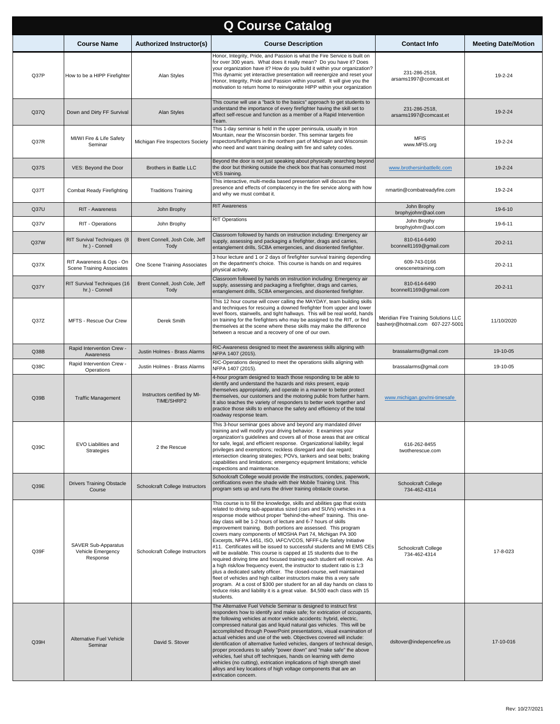| <b>Q Course Catalog</b> |                                                             |                                            |                                                                                                                                                                                                                                                                                                                                                                                                                                                                                                                                                                                                                                                                                                                                                                                                                                                                                                                                                                                                                                                                                                                             |                                                                           |                            |  |
|-------------------------|-------------------------------------------------------------|--------------------------------------------|-----------------------------------------------------------------------------------------------------------------------------------------------------------------------------------------------------------------------------------------------------------------------------------------------------------------------------------------------------------------------------------------------------------------------------------------------------------------------------------------------------------------------------------------------------------------------------------------------------------------------------------------------------------------------------------------------------------------------------------------------------------------------------------------------------------------------------------------------------------------------------------------------------------------------------------------------------------------------------------------------------------------------------------------------------------------------------------------------------------------------------|---------------------------------------------------------------------------|----------------------------|--|
|                         | <b>Course Name</b>                                          | Authorized Instructor(s)                   | <b>Course Description</b>                                                                                                                                                                                                                                                                                                                                                                                                                                                                                                                                                                                                                                                                                                                                                                                                                                                                                                                                                                                                                                                                                                   | <b>Contact Info</b>                                                       | <b>Meeting Date/Motion</b> |  |
| Q37P                    | How to be a HIPP Firefighter                                | Alan Styles                                | Honor, Integrity, Pride, and Passion is what the Fire Service is built on<br>for over 300 years. What does it really mean? Do you have it? Does<br>your organization have it? How do you build it within your organization?<br>This dynamic yet interactive presentation will reenergize and reset your<br>Honor, Integrity, Pride and Passion within yourself. It will give you the<br>motivation to return home to reinvigorate HIPP within your organization                                                                                                                                                                                                                                                                                                                                                                                                                                                                                                                                                                                                                                                             | 231-286-2518,<br>arsams1997@comcast.et                                    | 19-2-24                    |  |
| Q37Q                    | Down and Dirty FF Survival                                  | Alan Styles                                | This course will use a "back to the basics" approach to get students to<br>understand the importance of every firefighter having the skill set to<br>affect self-rescue and function as a member of a Rapid Intervention<br>Team.                                                                                                                                                                                                                                                                                                                                                                                                                                                                                                                                                                                                                                                                                                                                                                                                                                                                                           | 231-286-2518,<br>arsams1997@comcast.et                                    | 19-2-24                    |  |
| Q37R                    | MI/WI Fire & Life Safety<br>Seminar                         | Michigan Fire Inspectors Society           | This 1-day seminar is held in the upper peninsula, usually in Iron<br>Mountain, near the Wisconsin border. This seminar targets fire<br>inspectors/firefighters in the northern part of Michigan and Wisconsin<br>who need and want training dealing with fire and safety codes.                                                                                                                                                                                                                                                                                                                                                                                                                                                                                                                                                                                                                                                                                                                                                                                                                                            | <b>MFIS</b><br>www.MFIS.org                                               | 19-2-24                    |  |
| Q37S                    | VES: Beyond the Door                                        | <b>Brothers in Battle LLC</b>              | Beyond the door is not just speaking about physically searching beyond<br>the door but thinking outside the check box that has consumed most<br>VES training.                                                                                                                                                                                                                                                                                                                                                                                                                                                                                                                                                                                                                                                                                                                                                                                                                                                                                                                                                               | www.brothersinbattlellc.com                                               | 19-2-24                    |  |
| Q37T                    | <b>Combat Ready Firefighting</b>                            | <b>Traditions Training</b>                 | This interactive, multi-media based presentation will discuss the<br>presence and effects of complacency in the fire service along with how<br>and why we must combat it.                                                                                                                                                                                                                                                                                                                                                                                                                                                                                                                                                                                                                                                                                                                                                                                                                                                                                                                                                   | nmartin@combatreadyfire.com                                               | 19-2-24                    |  |
| Q37U                    | RIT - Awareness                                             | John Brophy                                | <b>RIT Awareness</b>                                                                                                                                                                                                                                                                                                                                                                                                                                                                                                                                                                                                                                                                                                                                                                                                                                                                                                                                                                                                                                                                                                        | John Brophy<br>brophyjohnr@aol.com                                        | 19-6-10                    |  |
| Q37V                    | RIT - Operations                                            | John Brophy                                | <b>RIT Operations</b>                                                                                                                                                                                                                                                                                                                                                                                                                                                                                                                                                                                                                                                                                                                                                                                                                                                                                                                                                                                                                                                                                                       | John Brophy<br>brophyjohnr@aol.com                                        | 19-6-11                    |  |
| Q37W                    | RIT Survival Techniques (8<br>hr.) - Connell                | Brent Connell, Josh Cole, Jeff<br>Tody     | Classroom followed by hands on instruction including: Emergency air<br>supply, assessing and packaging a firefighter, drags and carries,<br>entanglement drills, SCBA emergencies, and disoriented firefighter.                                                                                                                                                                                                                                                                                                                                                                                                                                                                                                                                                                                                                                                                                                                                                                                                                                                                                                             | 810-614-6490<br>bconnell1169@gmail.com                                    | $20 - 2 - 11$              |  |
| Q <sub>37X</sub>        | RIT Awareness & Ops - On<br>Scene Training Associates       | One Scene Training Associates              | 3 hour lecture and 1 or 2 days of firefighter survival training depending<br>on the department's choice. This course is hands on and requires<br>physical activity.                                                                                                                                                                                                                                                                                                                                                                                                                                                                                                                                                                                                                                                                                                                                                                                                                                                                                                                                                         | 609-743-0166<br>onescenetraining.com                                      | $20 - 2 - 11$              |  |
| Q37Y                    | RIT Survival Techniques (16<br>hr.) - Connell               | Brent Connell, Josh Cole, Jeff<br>Tody     | Classroom followed by hands on instruction including: Emergency air<br>supply, assessing and packaging a firefighter, drags and carries,<br>entanglement drills, SCBA emergencies, and disoriented firefighter.                                                                                                                                                                                                                                                                                                                                                                                                                                                                                                                                                                                                                                                                                                                                                                                                                                                                                                             | 810-614-6490<br>bconnell1169@gmail.com                                    | $20 - 2 - 11$              |  |
| Q37Z                    | MFTS - Rescue Our Crew                                      | Derek Smith                                | This 12 hour course will cover calling the MAYDAY, team building skills<br>and techniques for rescuing a downed firefighter from upper and lower<br>level floors, stairwells, and tight hallways. This will be real world, hands<br>on training for the firefighters who may be assigned to the RIT, or find<br>themselves at the scene where these skills may make the difference<br>between a rescue and a recovery of one of our own.                                                                                                                                                                                                                                                                                                                                                                                                                                                                                                                                                                                                                                                                                    | Meridian Fire Training Solutions LLC<br>basherjr@hotmail.com 607-227-5001 | 11/10/2020                 |  |
| Q38B                    | Rapid Intervention Crew -<br>Awareness                      | Justin Holmes - Brass Alarms               | RIC-Awareness designed to meet the awareness skills aligning with<br>NFPA 1407 (2015).                                                                                                                                                                                                                                                                                                                                                                                                                                                                                                                                                                                                                                                                                                                                                                                                                                                                                                                                                                                                                                      | brassalarms@gmail.com                                                     | 19-10-05                   |  |
| Q38C                    | Rapid Intervention Crew -<br>Operations                     | Justin Holmes - Brass Alarms               | RIC-Operations designed to meet the operations skills aligning with<br>NFPA 1407 (2015).                                                                                                                                                                                                                                                                                                                                                                                                                                                                                                                                                                                                                                                                                                                                                                                                                                                                                                                                                                                                                                    | brassalarms@gmail.com                                                     | 19-10-05                   |  |
| Q39B                    | <b>Traffic Management</b>                                   | Instructors certified by MI-<br>TIME/SHRP2 | 4-hour program designed to teach those responding to be able to<br>identify and understand the hazards and risks present, equip<br>themselves appropriately, and operate in a manner to better protect<br>themselves, our customers and the motoring public from further harm.<br>It also teaches the variety of responders to better work together and<br>practice those skills to enhance the safety and efficiency of the total<br>roadway response team.                                                                                                                                                                                                                                                                                                                                                                                                                                                                                                                                                                                                                                                                | www.michigan.gov/mi-timesafe                                              |                            |  |
| Q39C                    | EVO Liabilities and<br>Strategies                           | 2 the Rescue                               | This 3-hour seminar goes above and beyond any mandated driver<br>training and will modify your driving behavior. It examines your<br>organization's guidelines and covers all of those areas that are critical<br>for safe, legal, and efficient response. Organizational liability; legal<br>privileges and exemptions; reckless disregard and due regard;<br>intersection clearing strategies; POVs, tankers and seat belts; braking<br>capabilities and limitations; emergency equipment limitations; vehicle<br>inspections and maintenance.                                                                                                                                                                                                                                                                                                                                                                                                                                                                                                                                                                            | 616-262-8455<br>twotherescue.com                                          |                            |  |
| Q39E                    | <b>Drivers Training Obstacle</b><br>Course                  | Schoolcraft College Instructors            | Schoolcraft College would provide the instructors, condes, paperwork,<br>certifications even the shade with their Mobile Training Unit. This<br>program sets up and runs the driver training obstacle course.                                                                                                                                                                                                                                                                                                                                                                                                                                                                                                                                                                                                                                                                                                                                                                                                                                                                                                               | Schoolcraft College<br>734-462-4314                                       |                            |  |
| Q39F                    | <b>SAVER Sub-Apparatus</b><br>Vehicle Emergency<br>Response | Schoolcraft College Instructors            | This course is to fill the knowledge, skills and abilities gap that exists<br>related to driving sub-apparatus sized (cars and SUVs) vehicles in a<br>response mode without proper "behind-the-wheel" training. This one-<br>day class will be 1-2 hours of lecture and 6-7 hours of skills<br>improvement training. Both portions are assessed. This program<br>covers many components of MIOSHA Part 74, Michigan PA 300<br>Excerpts, NFPA 1451, ISO, IAFC/VCOS, NFFF-Life Safety Initiative<br>#11. Certificates will be issued to successful students and MI EMS CEs<br>will be available. This course is capped at 15 students due to the<br>required driving time and focused training each student will receive. As<br>a high risk/low frequency event, the instructor to student ratio is 1:3<br>plus a dedicated safety officer. The closed-course, well maintained<br>fleet of vehicles and high caliber instructors make this a very safe<br>program. At a cost of \$300 per student for an all day hands on class to<br>reduce risks and liability it is a great value. \$4,500 each class with 15<br>students. | Schoolcraft College<br>734-462-4314                                       | 17-8-023                   |  |
| Q39H                    | <b>Alternative Fuel Vehicle</b><br>Seminar                  | David S. Stover                            | The Alternative Fuel Vehicle Seminar is designed to instruct first<br>responders how to identify and make safe; for extrication of occupants,<br>the following vehicles at motor vehicle accidents: hybrid, electric,<br>compressed natural gas and liquid natural gas vehicles. This will be<br>accomplished through PowerPoint presentations, visual examination of<br>actual vehicles and use of the web. Objectives covered will include:<br>identification of alternative fueled vehicles, dangers of technical design,<br>proper procedures to safely "power down" and "make safe" the above<br>vehicles, fuel shut off techniques, hands on learning with demo<br>vehicles (no cutting), extrication implications of high strength steel<br>alloys and key locations of high voltage components that are an<br>extrication concern.                                                                                                                                                                                                                                                                                  | dsltover@indepencefire.us                                                 | 17-10-016                  |  |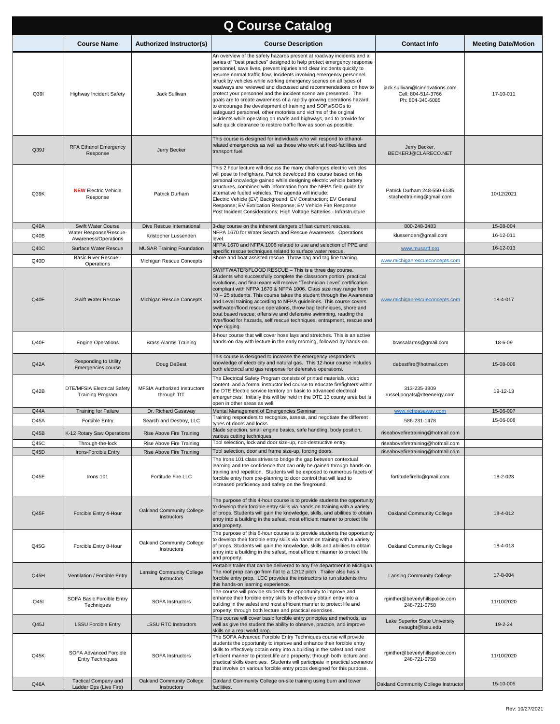| <b>Q Course Catalog</b> |                                                               |                                                    |                                                                                                                                                                                                                                                                                                                                                                                                                                                                                                                                                                                                                                                                                                                                                                                                                                                                     |                                                                           |                            |  |
|-------------------------|---------------------------------------------------------------|----------------------------------------------------|---------------------------------------------------------------------------------------------------------------------------------------------------------------------------------------------------------------------------------------------------------------------------------------------------------------------------------------------------------------------------------------------------------------------------------------------------------------------------------------------------------------------------------------------------------------------------------------------------------------------------------------------------------------------------------------------------------------------------------------------------------------------------------------------------------------------------------------------------------------------|---------------------------------------------------------------------------|----------------------------|--|
|                         | <b>Course Name</b>                                            | Authorized Instructor(s)                           | <b>Course Description</b>                                                                                                                                                                                                                                                                                                                                                                                                                                                                                                                                                                                                                                                                                                                                                                                                                                           | <b>Contact Info</b>                                                       | <b>Meeting Date/Motion</b> |  |
| Q39I                    | <b>Highway Incident Safety</b>                                | Jack Sullivan                                      | An overview of the safety hazards present at roadway incidents and a<br>series of "best practices" designed to help protect emergency response<br>personnel, save lives, prevent injuries and clear incidents quickly to<br>resume normal traffic flow. Incidents involving emergency personnel<br>struck by vehicles while working emergency scenes on all types of<br>roadways are reviewed and discussed and recommendations on how to<br>protect your personnel and the incident scene are presented. The<br>goals are to create awareness of a rapidly growing operations hazard,<br>to encourage the development of training and SOPs/SOGs to<br>safeguard personnel, other motorists and victims of the original<br>incidents while operating on roads and highways, and to provide for<br>safe quick clearance to restore traffic flow as soon as possible. | jack.sullivan@lcinnovations.com<br>Cell: 804-514-3766<br>Ph: 804-340-6085 | 17-10-011                  |  |
| Q39J                    | <b>RFA Ethanol Emergency</b><br>Response                      | Jerry Becker                                       | This course is designed for individuals who will respond to ethanol-<br>related emergencies as well as those who work at fixed-facilities and<br>transport fuel.                                                                                                                                                                                                                                                                                                                                                                                                                                                                                                                                                                                                                                                                                                    | Jerry Becker,<br>BECKERJ@CLARECO.NET                                      |                            |  |
| Q39K                    | <b>NEW Electric Vehicle</b><br>Response                       | Patrick Durham                                     | This 2 hour lecture will discuss the many challenges electric vehicles<br>will pose to firefighters. Patrick developed this course based on his<br>personal knowledge gained while designing electric vehicle battery<br>structures, combined with information from the NFPA field guide for<br>alternative fueled vehicles. The agenda will include:<br>Electric Vehicle (EV) Background; EV Construction; EV General<br>Response; EV Extrication Response; EV Vehicle Fire Response<br>Post Incident Considerations; High Voltage Batteries - Infrastructure                                                                                                                                                                                                                                                                                                      | Patrick Durham 248-550-6135<br>stachedtraining@gmail.com                  | 10/12/2021                 |  |
| Q40A                    | Swift Water Course                                            | Dive Rescue International                          | 3-day course on the inherent dangers of fast current rescues.                                                                                                                                                                                                                                                                                                                                                                                                                                                                                                                                                                                                                                                                                                                                                                                                       | 800-248-3483                                                              | 15-08-004                  |  |
| Q40B                    | Water Response/Rescue-<br>Awareness/Operations                | Kristopher Lussenden                               | NFPA 1670 for Water Search and Rescue Awareness. Operations<br>level.                                                                                                                                                                                                                                                                                                                                                                                                                                                                                                                                                                                                                                                                                                                                                                                               | klussenden@gmail.com                                                      | 16-12-011                  |  |
| Q40C                    | Surface Water Rescue                                          | <b>MUSAR Training Foundation</b>                   | NFPA 1670 and NFPA 1006 related to use and selection of PPE and<br>specific rescue techniques related to surface water rescue.                                                                                                                                                                                                                                                                                                                                                                                                                                                                                                                                                                                                                                                                                                                                      | www.musartf.org                                                           | 16-12-013                  |  |
| Q40D                    | Basic River Rescue -                                          | Michigan Rescue Concepts                           | Shore and boat assisted rescue. Throw bag and tag line training.                                                                                                                                                                                                                                                                                                                                                                                                                                                                                                                                                                                                                                                                                                                                                                                                    | www.michiganrescueconcepts.com                                            |                            |  |
| Q40E                    | Operations<br>Swift Water Rescue                              | Michigan Rescue Concepts                           | SWIFTWATER/FLOOD RESCUE - This is a three day course.<br>Students who successfully complete the classroom portion, practical<br>evolutions, and final exam will receive "Technician Level" certification<br>compliant with NFPA 1670 & NFPA 1006. Class size may range from<br>10 - 25 students. This course takes the student through the Awareness<br>and Level training according to NFPA guidelines. This course covers<br>swiftwater/flood rescue operations, throw bag techniques, shore and<br>boat based rescue, offensive and defensive swimming, reading the<br>river/flood for hazards, self rescue techniques, entrapment, rescue and<br>rope rigging.                                                                                                                                                                                                  | www.michiganrescueconcepts.com                                            | 18-4-017                   |  |
| Q40F                    | <b>Engine Operations</b>                                      | <b>Brass Alarms Training</b>                       | 8-hour course that will cover hose lays and stretches. This is an active<br>hands-on day with lecture in the early morning, followed by hands-on.                                                                                                                                                                                                                                                                                                                                                                                                                                                                                                                                                                                                                                                                                                                   | brassalarms@gmail.com                                                     | 18-6-09                    |  |
| Q42A                    | Responding to Utility<br>Emergencies course                   | Doug DeBest                                        | This course is designed to increase the emergency responder's<br>knowledge of electricity and natural gas. This 12-hour course includes<br>both electrical and gas response for defensive operations.                                                                                                                                                                                                                                                                                                                                                                                                                                                                                                                                                                                                                                                               | debestfire@hotmail.com                                                    | 15-08-006                  |  |
| Q42B                    | <b>DTE/MFSIA Electrical Safety</b><br><b>Training Program</b> | <b>MFSIA Authorized Instructors</b><br>through TtT | The Electrical Safety Program consists of printed materials, video<br>content, and a formal instructor led course to educate firefighters within<br>the DTE Electric service territory on basic to advanced electrical<br>emergencies. Initially this will be held in the DTE 13 county area but is<br>open in other areas as well.                                                                                                                                                                                                                                                                                                                                                                                                                                                                                                                                 | 313-235-3809<br>russel.pogats@dteenergy.com                               | 19-12-13                   |  |
| <b>Q44A</b>             | <b>Training for Failure</b>                                   | Dr. Richard Gasaway                                | Mental Management of Emergencies Seminar<br>Training responders to recognize, assess, and negotiate the different                                                                                                                                                                                                                                                                                                                                                                                                                                                                                                                                                                                                                                                                                                                                                   | www.richgasaway.com                                                       | 15-06-007                  |  |
| Q45A                    | <b>Forcible Entry</b>                                         | Search and Destroy, LLC                            | types of doors and locks.                                                                                                                                                                                                                                                                                                                                                                                                                                                                                                                                                                                                                                                                                                                                                                                                                                           | 586-231-1478                                                              | 15-06-008                  |  |
| Q45B                    | K-12 Rotary Saw Operations                                    | Rise Above Fire Training                           | Blade selection, small engine basics, safe handling, body position,<br>various cutting techniques.                                                                                                                                                                                                                                                                                                                                                                                                                                                                                                                                                                                                                                                                                                                                                                  | riseabovefiretraining@hotmail.com                                         |                            |  |
| Q45C                    | Through-the-lock                                              | Rise Above Fire Training                           | Tool selection, lock and door size-up, non-destructive entry.                                                                                                                                                                                                                                                                                                                                                                                                                                                                                                                                                                                                                                                                                                                                                                                                       | riseabovefiretraining@hotmail.com                                         |                            |  |
| Q45D<br>Q45E            | Irons-Forcible Entry<br>Irons 101                             | Rise Above Fire Training<br>Fortitude Fire LLC     | Tool selection, door and frame size-up, forcing doors.<br>The Irons 101 class strives to bridge the gap between contextual<br>learning and the confidence that can only be gained through hands-on<br>training and repetition. Students will be exposed to numerous facets of<br>forcible entry from pre-planning to door control that will lead to<br>increased proficiency and safety on the fireground.                                                                                                                                                                                                                                                                                                                                                                                                                                                          | riseabovefiretraining@hotmail.com<br>fortitudefirellc@gmail.com           | 18-2-023                   |  |
| Q45F                    | Forcible Entry 4-Hour                                         | Oakland Community College<br>Instructors           | The purpose of this 4-hour course is to provide students the opportunity<br>to develop their forcible entry skills via hands on training with a variety<br>of props. Students will gain the knowledge, skills, and abilities to obtain<br>entry into a building in the safest, most efficient manner to protect life<br>and property.                                                                                                                                                                                                                                                                                                                                                                                                                                                                                                                               | Oakland Community College                                                 | 18-4-012                   |  |
| Q45G                    | Forcible Entry 8-Hour                                         | Oakland Community College<br>Instructors           | The purpose of this 8-hour course is to provide students the opportunity<br>to develop their forcible entry skills via hands on training with a variety<br>of props. Students will gain the knowledge, skills and abilities to obtain<br>entry into a building in the safest, most efficient manner to protect life<br>and property.                                                                                                                                                                                                                                                                                                                                                                                                                                                                                                                                | Oakland Community College                                                 | 18-4-013                   |  |
| Q45H                    | Ventilation / Forcible Entry                                  | <b>Lansing Community College</b><br>Instructors    | Portable trailer that can be delivered to any fire department in Michigan.<br>The roof prop can go from flat to a 12/12 pitch. Trailer also has a<br>forcible entry prop. LCC provides the instructors to run students thru<br>this hands-on learning experience.                                                                                                                                                                                                                                                                                                                                                                                                                                                                                                                                                                                                   | <b>Lansing Community College</b>                                          | 17-8-004                   |  |
| Q45I                    | SOFA Basic Forcible Entry<br>Techniques                       | <b>SOFA Instructors</b>                            | The course will provide students the opportunity to improve and<br>enhance their forcible entry skills to effectively obtain entry into a<br>building in the safest and most efficient manner to protect life and<br>property; through both lecture and practical exercises.                                                                                                                                                                                                                                                                                                                                                                                                                                                                                                                                                                                        | rginther@beverlyhillspolice.com<br>248-721-0758                           | 11/10/2020                 |  |
| Q45J                    | <b>LSSU Forcible Entry</b>                                    | <b>LSSU RTC Instructors</b>                        | This course will cover basic forcible entry principles and methods, as<br>well as give the student the ability to observe, practice, and improve<br>skills on a real world prop.                                                                                                                                                                                                                                                                                                                                                                                                                                                                                                                                                                                                                                                                                    | Lake Superior State University<br>nvaught@lssu.edu                        | 19-2-24                    |  |
| Q45K                    | SOFA Advanced Forcible<br><b>Entry Techniques</b>             | SOFA Instructors                                   | The SOFA Advanced Forcible Entry Techniques course will provide<br>students the opportunity to improve and enhance their forcible entry<br>skills to effectively obtain entry into a building in the safest and most<br>efficient manner to protect life and property; through both lecture and<br>practical skills exercises. Students will participate in practical scenarios<br>that involve on various forcible entry props designed for this purpose.                                                                                                                                                                                                                                                                                                                                                                                                          | rginther@beverlyhillspolice.com<br>248-721-0758                           | 11/10/2020                 |  |
| Q46A                    | <b>Tactical Company and</b><br>Ladder Ops (Live Fire)         | Oakland Community College<br>Instructors           | Oakland Community College on-site training using burn and tower<br>facilities.                                                                                                                                                                                                                                                                                                                                                                                                                                                                                                                                                                                                                                                                                                                                                                                      | Oakland Community College Instructor                                      | 15-10-005                  |  |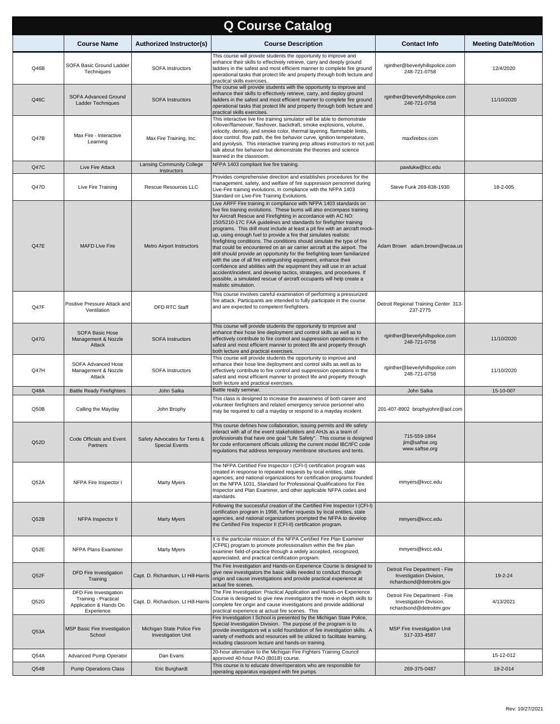|      | <b>Q Course Catalog</b>                                                                |                                                         |                                                                                                                                                                                                                                                                                                                                                                                                                                                                                                                                                                                                                                                                                                                                                                                                                                                                                                                                                                                                         |                                                                                        |                            |  |  |
|------|----------------------------------------------------------------------------------------|---------------------------------------------------------|---------------------------------------------------------------------------------------------------------------------------------------------------------------------------------------------------------------------------------------------------------------------------------------------------------------------------------------------------------------------------------------------------------------------------------------------------------------------------------------------------------------------------------------------------------------------------------------------------------------------------------------------------------------------------------------------------------------------------------------------------------------------------------------------------------------------------------------------------------------------------------------------------------------------------------------------------------------------------------------------------------|----------------------------------------------------------------------------------------|----------------------------|--|--|
|      | <b>Course Name</b>                                                                     | <b>Authorized Instructor(s)</b>                         | <b>Course Description</b>                                                                                                                                                                                                                                                                                                                                                                                                                                                                                                                                                                                                                                                                                                                                                                                                                                                                                                                                                                               | <b>Contact Info</b>                                                                    | <b>Meeting Date/Motion</b> |  |  |
| Q46B | SOFA Basic Ground Ladder<br>Techniques                                                 | <b>SOFA Instructors</b>                                 | This course will provide students the opportunity to improve and<br>enhance their skills to effectively retrieve, carry and deeply ground<br>ladders in the safest and most efficient manner to complete fire ground<br>operational tasks that protect life and property through both lecture and<br>practical skills exercises.                                                                                                                                                                                                                                                                                                                                                                                                                                                                                                                                                                                                                                                                        | rginther@beverlyhillspolice.com<br>248-721-0758                                        | 12/4/2020                  |  |  |
| Q46C | SOFA Advanced Ground<br>Ladder Techniques                                              | <b>SOFA Instructors</b>                                 | The course will provide students with the opportunity to improve and<br>enhance their skills to effectively retrieve, carry, and deploy ground<br>ladders in the safest and most efficient manner to complete fire ground<br>operational tasks that protect life and property through both lecture and<br>practical skills exercises.                                                                                                                                                                                                                                                                                                                                                                                                                                                                                                                                                                                                                                                                   | rginther@beverlyhillspolice.com<br>248-721-0758                                        | 11/10/2020                 |  |  |
| Q47B | Max Fire - Interactive<br>Learning                                                     | Max Fire Training, Inc.                                 | This interactive live fire training simulator will be able to demonstrate<br>rollover/flameover, flashover, backdraft, smoke explosions, volume,<br>velocity, density, and smoke color, thermal layering, flammable limits,<br>door control, flow path, the fire behavior curve, ignition temperature,<br>and pyrolysis. This interactive training prop allows instructors to not just<br>talk about fire behavior but demonstrate the theories and science<br>learned in the classroom.                                                                                                                                                                                                                                                                                                                                                                                                                                                                                                                | maxfirebox.com                                                                         |                            |  |  |
| Q47C | Live Fire Attack                                                                       | Lansing Community College<br>Instructors                | NFPA 1403 compliant live fire training.                                                                                                                                                                                                                                                                                                                                                                                                                                                                                                                                                                                                                                                                                                                                                                                                                                                                                                                                                                 | pawlukw@lcc.edu                                                                        |                            |  |  |
| Q47D | Live Fire Training                                                                     | <b>Rescue Resources LLC</b>                             | Provides comprehensive direction and establishes procedures for the<br>management, safety, and welfare of fire suppression personnel during<br>Live-Fire training evolutions, in compliance with the NFPA 1403<br>Standard on Live-Fire Training Evolutions.                                                                                                                                                                                                                                                                                                                                                                                                                                                                                                                                                                                                                                                                                                                                            | Steve Funk 269-838-1930                                                                | 18-2-005                   |  |  |
| Q47E | <b>MAFD Live Fire</b>                                                                  | <b>Metro Airport Instructors</b>                        | Live ARFF Fire training in compliance with NFPA 1403 standards on<br>live fire training evolutions. These burns will also encompass training<br>for Aircraft Rescue and Firefighting in accordance with AC NO:<br>150/5210-17C FAA guidelines and standards for firefighter training<br>programs. This drill must include at least a pit fire with an aircraft mock-<br>up, using enough fuel to provide a fire that simulates realistic<br>firefighting conditions. The conditions should simulate the type of fire<br>that could be encountered on an air carrier aircraft at the airport. The<br>drill should provide an opportunity for the firefighting team familiarized<br>with the use of all fire extinguishing equipment, enhance their<br>confidence and abilities with the equipment they will use in an actual<br>accident/incident, and develop tactics, strategies, and procedures. If<br>possible, a simulated rescue of aircraft occupants will help create a<br>realistic simulation. | Adam Brown adam.brown@wcaa.us                                                          |                            |  |  |
| Q47F | Positive Pressure Attack and<br>Ventilation                                            | <b>DFD RTC Staff</b>                                    | This course involves careful examination of performing a pressurized<br>fire attack. Participants are intended to fully participate in the course<br>and are expected to competent firefighters.                                                                                                                                                                                                                                                                                                                                                                                                                                                                                                                                                                                                                                                                                                                                                                                                        | Detroit Regional Training Center 313-<br>237-2775                                      |                            |  |  |
| Q47G | SOFA Basic Hose<br>Management & Nozzle<br>Attack                                       | <b>SOFA Instructors</b>                                 | This course will provide students the opportunity to improve and<br>enhance their hose line deployment and control skills as well as to<br>effectively contribute to fire control and suppression operations in the<br>safest and most efficient manner to protect life and property through<br>both lecture and practical exercises.                                                                                                                                                                                                                                                                                                                                                                                                                                                                                                                                                                                                                                                                   | rginther@beverlyhillspolice.com<br>248-721-0758                                        | 11/10/2020                 |  |  |
| Q47H | SOFA Advanced Hose<br>Management & Nozzle<br>Attack                                    | <b>SOFA Instructors</b>                                 | This course will provide students the opportunity to improve and<br>enhance their hose line deployment and control skills as well as to<br>effectively contribute to fire control and suppression operations in the<br>safest and most efficient manner to protect life and property through<br>both lecture and practical exercises.                                                                                                                                                                                                                                                                                                                                                                                                                                                                                                                                                                                                                                                                   | rginther@beverlyhillspolice.com<br>248-721-0758                                        | 11/10/2020                 |  |  |
| Q48A | <b>Battle Ready Firefighters</b>                                                       | John Salka                                              | Battle ready seminar.                                                                                                                                                                                                                                                                                                                                                                                                                                                                                                                                                                                                                                                                                                                                                                                                                                                                                                                                                                                   | John Salka                                                                             | 15-10-007                  |  |  |
| Q50B | Calling the Mayday                                                                     | John Brophy                                             | This class is designed to increase the awareness of both career and<br>volunteer firefighters and related emergency service personnel who<br>may be required to call a mayday or respond to a mayday incident.                                                                                                                                                                                                                                                                                                                                                                                                                                                                                                                                                                                                                                                                                                                                                                                          | 201-407-8902 brophyjohnr@aol.com                                                       |                            |  |  |
| Q52D | Code Officials and Event<br>Partners                                                   | Safety Advocates for Tents &<br><b>Special Events</b>   | This course defines how collaboration, issuing permits and life safety<br>interact with all of the event stakeholders and AHJs as a team of<br>professionals that have one goal "Life Safety". This course is designed<br>for code enforcement officials utilizing the current model IBC/IFC code<br>regulations that address temporary membrane structures and tents.                                                                                                                                                                                                                                                                                                                                                                                                                                                                                                                                                                                                                                  | 715-559-1864<br>jim@saftse.org<br>www.saftse.org                                       |                            |  |  |
| Q52A | NFPA Fire Inspector I                                                                  | Marty Myers                                             | The NFPA Certified Fire Inspector I (CFI-I) certification program was<br>created in response to repeated requests by local entities, state<br>agencies, and national organizations for certification programs founded<br>on the NFPA 1031, Standard for Professional Qualifications for Fire<br>Inspector and Plan Examiner, and other applicable NFPA codes and<br>standards.                                                                                                                                                                                                                                                                                                                                                                                                                                                                                                                                                                                                                          | mmyers@kvcc.edu                                                                        |                            |  |  |
| Q52B | NFPA Inspector II                                                                      | <b>Marty Myers</b>                                      | Following the successful creation of the Certified Fire Inspector I (CFI-I)<br>certification program in 1998, further requests by local entities, state<br>agencies, and national organizations prompted the NFPA to develop<br>the Certified Fire Inspector II (CFI-II) certification program.                                                                                                                                                                                                                                                                                                                                                                                                                                                                                                                                                                                                                                                                                                         | mmyers@kvcc.edu                                                                        |                            |  |  |
| Q52E | NFPA Plans Examiner                                                                    | Marty Myers                                             | It is the particular mission of the NFPA Certified Fire Plan Examiner<br>(CFPE) program to promote professionalism within the fire plan<br>examiner field-of-practice through a widely accepted, recognized,<br>appreciated, and practical certification program.                                                                                                                                                                                                                                                                                                                                                                                                                                                                                                                                                                                                                                                                                                                                       | mmyers@kvcc.edu                                                                        |                            |  |  |
| Q52F | DFD Fire Investigation<br>Training                                                     | Capt. D. Richardson, Lt Hill-Harris                     | The Fire Investigation and Hands-on Experience Course is designed to<br>give new investigators the basic skills needed to conduct thorough<br>origin and cause investigations and provide practical experience at<br>actual fire scenes.                                                                                                                                                                                                                                                                                                                                                                                                                                                                                                                                                                                                                                                                                                                                                                | Detroit Fire Department - Fire<br>Investigation Division,<br>richardsond@detroitmi.gov | 19-2-24                    |  |  |
| Q52G | DFD Fire Investigation<br>Training - Practical<br>Application & Hands On<br>Experience | Capt. D. Richardson, Lt Hill-Harris                     | The Fire Investigation: Practical Application and Hands-on Experience<br>Course is designed to give new investigators the more in depth skills to<br>complete fire origin and cause investigations and provide additional<br>practical experience at actual fire scenes. This                                                                                                                                                                                                                                                                                                                                                                                                                                                                                                                                                                                                                                                                                                                           | Detroit Fire Department - Fire<br>Investigation Division,<br>richardsond@detroitmi.gov | 4/13/2021                  |  |  |
| Q53A | MSP Basic Fire Investigation<br>School                                                 | Michigan State Police Fire<br><b>Investigation Unit</b> | Fire Investigation I School is presented by the Michigan State Police,<br>Special Investigation Division. The purpose of the program is to<br>provide investigators wit a solid foundation of fire investigation skills. A<br>variety of methods and resources will be utilized to facilitate learning,<br>including classroom lecture and hands-on training.                                                                                                                                                                                                                                                                                                                                                                                                                                                                                                                                                                                                                                           | MSP Fire Investigation Unit<br>517-333-4587                                            |                            |  |  |
| Q54A | Advanced Pump Operator                                                                 | Dan Evans                                               | 20-hour alternative to the Michigan Fire Fighters Training Council<br>approved 40-hour PAO (B01B) course.                                                                                                                                                                                                                                                                                                                                                                                                                                                                                                                                                                                                                                                                                                                                                                                                                                                                                               |                                                                                        | 15-12-012                  |  |  |
| Q54B | <b>Pump Operations Class</b>                                                           | Eric Burghardt                                          | This course is to educate driver/operators who are responsible for<br>operating apparatus equipped with fire pumps.                                                                                                                                                                                                                                                                                                                                                                                                                                                                                                                                                                                                                                                                                                                                                                                                                                                                                     | 269-375-0487                                                                           | 18-2-014                   |  |  |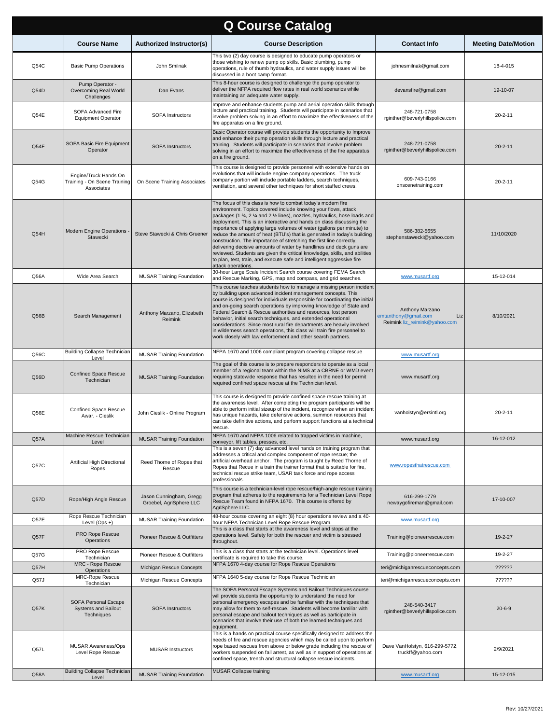| <b>Q Course Catalog</b> |                                                                                 |                                                    |                                                                                                                                                                                                                                                                                                                                                                                                                                                                                                                                                                                                                                                                                                                                                                   |                                                                                 |                            |  |
|-------------------------|---------------------------------------------------------------------------------|----------------------------------------------------|-------------------------------------------------------------------------------------------------------------------------------------------------------------------------------------------------------------------------------------------------------------------------------------------------------------------------------------------------------------------------------------------------------------------------------------------------------------------------------------------------------------------------------------------------------------------------------------------------------------------------------------------------------------------------------------------------------------------------------------------------------------------|---------------------------------------------------------------------------------|----------------------------|--|
|                         | <b>Course Name</b>                                                              | <b>Authorized Instructor(s)</b>                    | <b>Course Description</b>                                                                                                                                                                                                                                                                                                                                                                                                                                                                                                                                                                                                                                                                                                                                         | <b>Contact Info</b>                                                             | <b>Meeting Date/Motion</b> |  |
| Q54C                    | <b>Basic Pump Operations</b>                                                    | John Smilnak                                       | This two (2) day course is designed to educate pump operators or<br>those wishing to renew pump op skills. Basic plumbing, pump<br>operations, rule of thumb hydraulics, and water supply issues will be<br>discussed in a boot camp format.                                                                                                                                                                                                                                                                                                                                                                                                                                                                                                                      | johnesmilnak@gmail.com                                                          | 18-4-015                   |  |
| Q54D                    | Pump Operator -<br>Overcoming Real World<br>Challenges                          | Dan Evans                                          | This 8-hour course is designed to challenge the pump operator to<br>deliver the NFPA required flow rates in real world scenarios while<br>maintaining an adequate water supply.                                                                                                                                                                                                                                                                                                                                                                                                                                                                                                                                                                                   | devansfire@gmail.com                                                            | 19-10-07                   |  |
| Q54E                    | SOFA Advanced Fire<br><b>Equipment Operator</b>                                 | <b>SOFA Instructors</b>                            | Improve and enhance students pump and aerial operation skills through<br>lecture and practical training. Students will participate in scenarios that<br>involve problem solving in an effort to maximize the effectiveness of the<br>fire apparatus on a fire ground.                                                                                                                                                                                                                                                                                                                                                                                                                                                                                             | 248-721-0758<br>rginther@beverlyhillspolice.com                                 | $20 - 2 - 11$              |  |
| Q54F                    | <b>SOFA Basic Fire Equipment</b><br>Operator                                    | <b>SOFA Instructors</b>                            | Basic Operator course will provide students the opportunity to Improve<br>and enhance their pump operation skills through lecture and practical<br>training. Students will participate in scenarios that involve problem<br>solving in an effort to maximize the effectiveness of the fire apparatus<br>on a fire ground.                                                                                                                                                                                                                                                                                                                                                                                                                                         | 248-721-0758<br>rginther@beverlyhillspolice.com                                 | $20 - 2 - 11$              |  |
| Q54G                    | Engine/Truck Hands On<br>Training - On Scene Training<br>Associates             | On Scene Training Associates                       | This course is designed to provide personnel with extensive hands on<br>evolutions that will include engine company operations. The truck<br>company portion will include portable ladders, search techniques,<br>ventilation, and several other techniques for short staffed crews.                                                                                                                                                                                                                                                                                                                                                                                                                                                                              | 609-743-0166<br>onscenetraining.com                                             | $20 - 2 - 11$              |  |
| Q54H                    | <b>Modern Engine Operations</b><br>Stawecki                                     | Steve Stawecki & Chris Gruener                     | The focus of this class is how to combat today's modern fire<br>environment. Topics covered include knowing your flows, attack<br>packages (1 %, 2 % and 2 % lines), nozzles, hydraulics, hose loads and<br>deployment. This is an interactive and hands on class discussing the<br>importance of applying large volumes of water (gallons per minute) to<br>reduce the amount of heat (BTU's) that is generated in today's building<br>construction. The importance of stretching the first line correctly,<br>delivering decisive amounts of water by handlines and deck guns are<br>reviewed. Students are given the critical knowledge, skills, and abilities<br>to plan, test, train, and execute safe and intelligent aggressive fire<br>attack operations. | 586-382-5655<br>stephenstawecki@yahoo.com                                       | 11/10/2020                 |  |
| Q56A                    | Wide Area Search                                                                | <b>MUSAR Training Foundation</b>                   | 30-hour Large Scale Incident Search course covering FEMA Search<br>and Rescue Marking, GPS, map and compass, and grid searches.                                                                                                                                                                                                                                                                                                                                                                                                                                                                                                                                                                                                                                   | www.musartf.org                                                                 | 15-12-014                  |  |
| Q56B                    | Search Management                                                               | Anthony Marzano, Elizabeth<br>Reimink              | This course teaches students how to manage a missing person incident<br>by building upon advanced incident management concepts. This<br>course is designed for individuals responsible for coordinating the initial<br>and on-going search operations by improving knowledge of State and<br>Federal Search & Rescue authorities and resources, lost person<br>behavior, initial search techniques, and extended operational<br>considerations. Since most rural fire departments are heavily involved<br>in wilderness search operations, this class will train fire personnel to<br>work closely with law enforcement and other search partners.                                                                                                                | Anthony Marzano<br>emtanthony@gmail.com<br>Liz<br>Reimink liz_reimink@yahoo.com | 8/10/2021                  |  |
| Q56C                    | <b>Building Collapse Technician</b><br>Level                                    | <b>MUSAR Training Foundation</b>                   | NFPA 1670 and 1006 compliant program covering collapse rescue                                                                                                                                                                                                                                                                                                                                                                                                                                                                                                                                                                                                                                                                                                     | www.musartf.org                                                                 |                            |  |
| Q56D                    | <b>Confined Space Rescue</b><br>Technician                                      | <b>MUSAR Training Foundation</b>                   | The goal of this course is to prepare responders to operate as a local<br>member of a regional team within the NIMS at a CBRNE or WMD event<br>requiring statewide response that has resulted in the need for permit<br>required confined space rescue at the Technician level.                                                                                                                                                                                                                                                                                                                                                                                                                                                                                   | www.musartf.org                                                                 |                            |  |
| Q56E                    | <b>Confined Space Rescue</b><br>Awar. - Cieslik                                 | John Cieslik - Online Program                      | This course is designed to provide confined space rescue training at<br>the awareness level. After completing the program participants will be<br>able to perform initial sizeup of the incident, recognize when an incident<br>has unique hazards, take defensive actions, summon resources that                                                                                                                                                                                                                                                                                                                                                                                                                                                                 | vanholstyn@ersintl.org                                                          | $20 - 2 - 11$              |  |
|                         |                                                                                 |                                                    | can take definitive actions, and perform support functions at a technical<br>rescue.                                                                                                                                                                                                                                                                                                                                                                                                                                                                                                                                                                                                                                                                              |                                                                                 |                            |  |
| Q57A                    | Machine Rescue Technician<br>Level                                              | <b>MUSAR Training Foundation</b>                   | NFPA 1670 and NFPA 1006 related to trapped victims in machine,<br>conveyor, lift tables, presses, etc.                                                                                                                                                                                                                                                                                                                                                                                                                                                                                                                                                                                                                                                            | www.musartf.org                                                                 | 16-12-012                  |  |
| Q57C                    | Artificial High Directional<br>Ropes                                            | Reed Thorne of Ropes that<br>Rescue                | This is a seven (7) day advanced level hands on training program that<br>addresses a critical and complex component of rope rescue; the<br>artificial overhead anchor. The program is taught by Reed Thorne of<br>Ropes that Recue in a train the trainer format that is suitable for fire,<br>technical rescue strike team, USAR task force and rope access<br>professionals.                                                                                                                                                                                                                                                                                                                                                                                    | www.ropesthatrescue.com                                                         |                            |  |
| Q57D                    | Rope/High Angle Rescue                                                          | Jason Cunningham, Gregg<br>Groebel, AgriSphere LLC | This course is a technician-level rope rescue/high-angle rescue training<br>program that adheres to the requirements for a Technician Level Rope<br>Rescue Team found in NFPA 1670. This course is offered by<br>AgriSphere LLC.                                                                                                                                                                                                                                                                                                                                                                                                                                                                                                                                  | 616-299-1779<br>newaygofireman@gmail.com                                        | 17-10-007                  |  |
| Q57E                    | Rope Rescue Technician<br>Level $(Ops +)$                                       | <b>MUSAR Training Foundation</b>                   | 48-hour course covering an eight (8) hour operations review and a 40-<br>hour NFPA Technician Level Rope Rescue Program.                                                                                                                                                                                                                                                                                                                                                                                                                                                                                                                                                                                                                                          | www.musartf.org                                                                 |                            |  |
| Q57F                    | PRO Rope Rescue<br>Operations                                                   | Pioneer Rescue & Outfitters                        | This is a class that starts at the awareness level and stops at the<br>operations level. Safety for both the rescuer and victim is stressed<br>throughout.                                                                                                                                                                                                                                                                                                                                                                                                                                                                                                                                                                                                        | Training@pioneerrescue.com                                                      | 19-2-27                    |  |
| Q57G                    | PRO Rope Rescue<br>Technician                                                   | Pioneer Rescue & Outfitters                        | This is a class that starts at the technician level. Operations level<br>certificate is required to take this course.                                                                                                                                                                                                                                                                                                                                                                                                                                                                                                                                                                                                                                             | Training@pioneerrescue.com                                                      | 19-2-27                    |  |
| Q57H                    | MRC - Rope Rescue<br>Operations                                                 | Michigan Rescue Concepts                           | NFPA 1670 4-day course for Rope Rescue Operations                                                                                                                                                                                                                                                                                                                                                                                                                                                                                                                                                                                                                                                                                                                 | teri@michiganrescueconcepts.com                                                 | ??????                     |  |
| Q57J                    | MRC-Rope Rescue<br>Technician                                                   | Michigan Rescue Concepts                           | NFPA 1640 5-day course for Rope Rescue Technician                                                                                                                                                                                                                                                                                                                                                                                                                                                                                                                                                                                                                                                                                                                 | teri@michiganrescueconcepts.com                                                 | ??????                     |  |
| Q57K                    | SOFA Personal Escape<br>Systems and Bailout<br>Techniques                       | <b>SOFA Instructors</b>                            | The SOFA Personal Escape Systems and Bailout Techniques course<br>will provide students the opportunity to understand the need for<br>personal emergency escapes and be familiar with the techniques that<br>may allow for them to self-rescue. Students will become familiar with<br>personal escape and bailout techniques as well as participate in<br>scenarios that involve their use of both the learned techniques and<br>equipment.                                                                                                                                                                                                                                                                                                                       | 248-540-3417<br>rginther@beverlyhillspolice.com                                 | $20 - 6 - 9$               |  |
| Q57L                    | MUSAR Awareness/Ops<br>Level Rope Rescue<br><b>Building Collapse Technician</b> | <b>MUSAR Instructors</b>                           | This is a hands on practical course specifically designed to address the<br>needs of fire and rescue agencies which may be called upon to perform<br>rope based rescues from above or below grade including the rescue of<br>workers suspended on fall arrest, as well as in support of operations at<br>confined space, trench and structural collapse rescue incidents.<br>MUSAR Collapse training                                                                                                                                                                                                                                                                                                                                                              | Dave VanHolstyn, 616-299-5772,<br>truckff@yahoo.com                             | 2/9/2021                   |  |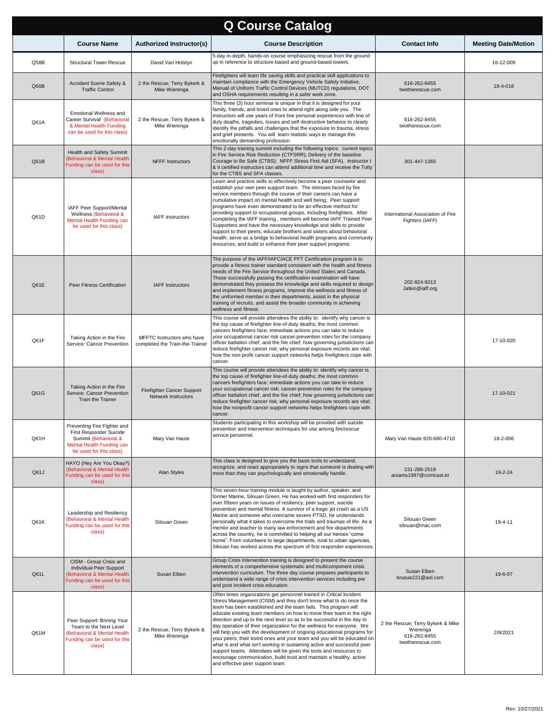| <b>Q Course Catalog</b> |                                                                                                                                        |                                                                 |                                                                                                                                                                                                                                                                                                                                                                                                                                                                                                                                                                                                                                                                                                                                                                                                                                                        |                                                                                   |                            |  |
|-------------------------|----------------------------------------------------------------------------------------------------------------------------------------|-----------------------------------------------------------------|--------------------------------------------------------------------------------------------------------------------------------------------------------------------------------------------------------------------------------------------------------------------------------------------------------------------------------------------------------------------------------------------------------------------------------------------------------------------------------------------------------------------------------------------------------------------------------------------------------------------------------------------------------------------------------------------------------------------------------------------------------------------------------------------------------------------------------------------------------|-----------------------------------------------------------------------------------|----------------------------|--|
|                         | <b>Course Name</b>                                                                                                                     | <b>Authorized Instructor(s)</b>                                 | <b>Course Description</b>                                                                                                                                                                                                                                                                                                                                                                                                                                                                                                                                                                                                                                                                                                                                                                                                                              | <b>Contact Info</b>                                                               | <b>Meeting Date/Motion</b> |  |
| Q58B                    | <b>Structural Tower Rescue</b>                                                                                                         | David Van Holstyn                                               | 5-day in-depth, hands-on course emphasizing rescue from the ground<br>up in reference to structure-based and ground-based towers.                                                                                                                                                                                                                                                                                                                                                                                                                                                                                                                                                                                                                                                                                                                      |                                                                                   | 16-12-009                  |  |
| Q60B                    | Accident Scene Safety &<br><b>Traffic Control</b>                                                                                      | 2 the Rescue; Terry Bykerk &<br>Mike Wierenga                   | Firefighters will learn life saving skills and practical skill applications to<br>maintain compliance with the Emergency Vehicle Safety Initiative,<br>Manual of Uniform Traffic Control Devices (MUTCD) regulations, DOT<br>and OSHA requirements resulting in a safer work zone.                                                                                                                                                                                                                                                                                                                                                                                                                                                                                                                                                                     | 616-262-8455<br>twotherescue.com                                                  | 18-4-018                   |  |
| Q61A                    | Emotional Wellness and<br>Career Survival (Behavioral<br>& Mental Health Funding<br>can be used for this class)                        | 2 the Rescue; Terry Bykerk &<br>Mike Wierenga                   | This three (3) hour seminar is unique in that it is designed for your<br>family, friends, and loved ones to attend right along side you. The<br>nstructors will use years of front line personal experiences with line of<br>duty deaths, tragedies, losses and self destructive behavior to clearly<br>identify the pitfalls and challenges that the exposure to trauma, stress<br>and grief presents. You will learn realistic ways to manage this<br>emotionally demanding profession                                                                                                                                                                                                                                                                                                                                                               | 616-262-8455<br>twotherescue.com                                                  |                            |  |
| Q61B                    | Health and Safety Summit<br>(Behavioral & Mental Health<br>Funding can be used for this<br>class)                                      | <b>NFFF Instructors</b>                                         | This 2-day training summit including the following topics: current topics<br>in Fire Service Risk Reduction (CTFSRR); Delivery of the baseline<br>Courage to Be Safe (CTBS); NFFF Stress First Aid (SFA). Instructor I<br>& Il certified instructors can attend additional time and receive the Totty<br>for the CTBS and SFA classes.                                                                                                                                                                                                                                                                                                                                                                                                                                                                                                                 | 301-447-1365                                                                      |                            |  |
| Q61D                    | IAFF Peer Support/Mental<br>Wellness (Behavioral &<br>Mental Health Funding can<br>be used for this class)                             | <b>IAFF</b> Instructors                                         | Learn and practice skills to effectively become a peer counselor and<br>establish your own peer support team. The stresses faced by fire<br>service members through the course of their careers can have a<br>cumulative impact on mental health and well being. Peer support<br>programs have even demonstrated to be an effective method for<br>providing support to occupational groups, including firefighters. After<br>completing the IAFF training, members will become IAFF Trained Peer<br>Supporters and have the necessary knowledge and skills to provide<br>support to their peers; educate brothers and sisters about behavioral<br>health; serve as a bridge to behavioral health programs and community<br>resources; and build or enhance their peer support programs.                                                                | International Association of Fire<br>Fighters (IAFF)                              |                            |  |
| Q61E                    | Peer Fitness Certification                                                                                                             | <b>IAFF Instructors</b>                                         | The purpose of the IAFF/IAFC/ACE PFT Certification program is to<br>provide a fitness trainer standard consistent with the health and fitness<br>needs of the Fire Service throughout the United States and Canada.<br>Those successfully passing the certification examination will have<br>demonstrated they possess the knowledge and skills required to design<br>and implement fitness programs, improve the wellness and fitness of<br>the uniformed member in their departments, assist in the physical<br>training of recruits, and assist the broader community in achieving<br>wellness and fitness.                                                                                                                                                                                                                                         | 202-824-9313<br>Jatkin@iaff.org                                                   |                            |  |
| Q61F                    | Taking Action in the Fire<br>Service: Cancer Prevention                                                                                | MFFTC Instructors who have<br>completed the Train-the-Trainer   | This course will provide attendees the ability to: identify why cancer is<br>the top cause of firefighter line-of-duty deaths; the most common<br>cancers firefighters face; immediate actions you can take to reduce<br>your occupational cancer risk cancer-prevention roles for the company<br>officer battalion chief, and the fire chief; how governing jurisdictions can<br>reduce firefighter cancer risk; why personal exposure records are vital;<br>how the non-profit cancer support networks helps firefighters cope with<br>cancer.                                                                                                                                                                                                                                                                                                       |                                                                                   | 17-10-020                  |  |
| Q61G                    | Taking Action in the Fire<br>Service: Cancer Prevention<br><b>Train the Trainer</b>                                                    | <b>Firefighter Cancer Support</b><br><b>Network Instructors</b> | This course will provide attendees the ability to: identify why cancer is<br>the top cause of firefighter line-of-duty deaths; the most common<br>cancers firefighters face; immediate actions you can take to reduce<br>your occupational cancer risk; cancer-prevention roles for the company<br>officer battalion chief, and the fire chief; how governing jurisdictions can<br>reduce firefighter cancer risk; why personal exposure records are vital;<br>how the nonprofit cancer support networks helps firefighters cope with<br>cancer.                                                                                                                                                                                                                                                                                                       |                                                                                   | 17-10-021                  |  |
| Q61H                    | Preventing Fire Fighter and<br>First Responder Suicide<br>Summit (Behavioral &<br>Mental Health Funding can<br>be used for this class) | Mary Van Haute                                                  | Students participating in this workshop will be provided with suicide<br>prevention and intervention techniques for use among fire/rescue<br>service personnel.                                                                                                                                                                                                                                                                                                                                                                                                                                                                                                                                                                                                                                                                                        | Mary Van Haute 920-680-4710                                                       | 18-2-006                   |  |
| Q61J                    | HAYO (Hey Are You Okay?)<br>(Behavioral & Mental Health<br>Funding can be used for this<br>class)                                      | Alan Styles                                                     | This class is designed to give you the basic tools to understand,<br>recognize, and react appropriately to signs that someone is dealing with<br>more than they can psychologically and emotionally handle.                                                                                                                                                                                                                                                                                                                                                                                                                                                                                                                                                                                                                                            | 231-286-2518<br>arsams1997@comcast.et                                             | 19-2-24                    |  |
| Q61K                    | Leadership and Resiliency<br>(Behavioral & Mental Health<br>Funding can be used for this<br>class)                                     | Silouan Green                                                   | This seven-hour training module is taught by author, speaker, and<br>former Marine, Silouan Green. He has worked with first responders for<br>over fifteen years on issues of resiliency, peer support, suicide<br>prevention and mental fitness. A survivor of a tragic jet crash as a US<br>Marine and someone who overcame severe PTSD, he understands<br>personally what it takes to overcome the trials and traumas of life. As a<br>mentor and teacher to many law enforcement and fire departments<br>across the country, he is committed to helping all our heroes "come<br>home". From volunteers to large departments, rural to urban agencies,<br>Silouan has worked across the spectrum of first responder experiences.                                                                                                                    | Silouan Green<br>silouan@mac.com                                                  | 19-4-11                    |  |
| Q61L                    | CISM - Group Crisis and<br>Individual Peer Support<br>Behavioral & Mental Health<br>Funding can be used for this<br>class)             | Susan Elben                                                     | Group Crisis Intervention training is designed to present the course<br>elements of a comprehensive systematic and multicomponent crisis<br>intervention curriculum. The three day course prepares participants to<br>understand a wide range of crisis intervention services including pre<br>and post incident crisis education.                                                                                                                                                                                                                                                                                                                                                                                                                                                                                                                     | Susan Elben<br>brusue221@aol.com                                                  | 19-6-07                    |  |
| Q61M                    | Peer Support: Brining Your<br>Team to the Next Level<br>(Behavioral & Mental Health<br>Funding can be used for this<br>class)          | 2 the Rescue; Terry Bykerk &<br>Mike Wierenga                   | Often times organizations get personnel trained in Critical Incident<br>Stress Management (CISM) and they don't know what to do once the<br>team has been established and the team fails. This program will<br>educate existing team members on how to move their team in the right<br>direction and up to the next level so as to be successful in the day to<br>day operation of their organization for the wellness for everyone. We<br>will help you with the development of ongoing educational programs for<br>your peers, their loved ones and your team and you will be educated on<br>what is and what isn't working in sustaining active and successful peer<br>support teams. Attendees will be given the tools and resources to<br>encourage communication, build trust and maintain a healthy, active<br>and effective peer support team. | 2 the Rescue; Terry Bykerk & Mike<br>Wierenga<br>616-262-8455<br>twotherescue.com | 2/9/2021                   |  |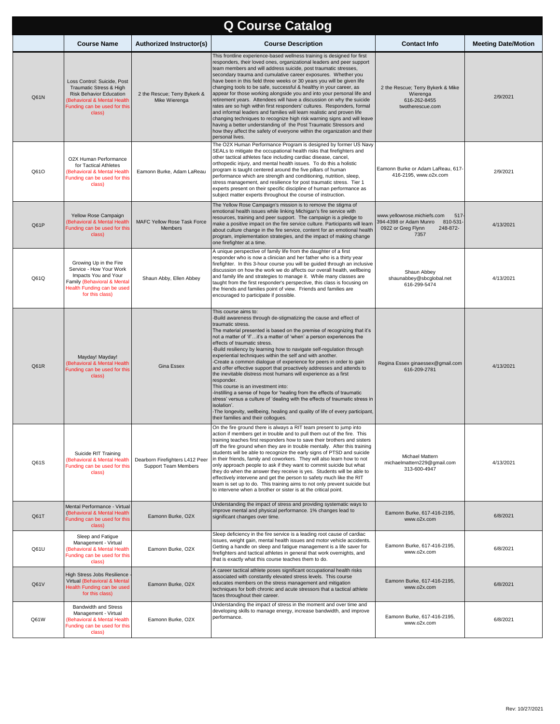| <b>Q Course Catalog</b> |                                                                                                                                                                   |                                                         |                                                                                                                                                                                                                                                                                                                                                                                                                                                                                                                                                                                                                                                                                                                                                                                                                                                                                                                                                                                                             |                                                                                                                    |                            |  |  |
|-------------------------|-------------------------------------------------------------------------------------------------------------------------------------------------------------------|---------------------------------------------------------|-------------------------------------------------------------------------------------------------------------------------------------------------------------------------------------------------------------------------------------------------------------------------------------------------------------------------------------------------------------------------------------------------------------------------------------------------------------------------------------------------------------------------------------------------------------------------------------------------------------------------------------------------------------------------------------------------------------------------------------------------------------------------------------------------------------------------------------------------------------------------------------------------------------------------------------------------------------------------------------------------------------|--------------------------------------------------------------------------------------------------------------------|----------------------------|--|--|
|                         | <b>Course Name</b>                                                                                                                                                | <b>Authorized Instructor(s)</b>                         | <b>Course Description</b>                                                                                                                                                                                                                                                                                                                                                                                                                                                                                                                                                                                                                                                                                                                                                                                                                                                                                                                                                                                   | <b>Contact Info</b>                                                                                                | <b>Meeting Date/Motion</b> |  |  |
| Q61N                    | Loss Control: Suicide, Post<br>Traumatic Stress & High<br><b>Risk Behavior Education</b><br>(Behavioral & Mental Health<br>Funding can be used for this<br>class) | 2 the Rescue; Terry Bykerk &<br>Mike Wierenga           | This frontline experience-based wellness training is designed for first<br>responders, their loved ones, organizational leaders and peer support<br>team members and will address suicide, post traumatic stresses,<br>secondary trauma and cumulative career exposures. Whether you<br>have been in this field three weeks or 30 years you will be given life<br>changing tools to be safe, successful & healthy in your career, as<br>appear for those working alongside you and into your personal life and<br>retirement years. Attendees will have a discussion on why the suicide<br>rates are so high within first responders' cultures. Responders, formal<br>and informal leaders and families will learn realistic and proven life<br>changing techniques to recognize high risk warning signs and will leave<br>having a better understanding of the Post Traumatic Stressors and<br>how they affect the safety of everyone within the organization and their<br>personal lives.                 | 2 the Rescue; Terry Bykerk & Mike<br>Wierenga<br>616-262-8455<br>twotherescue.com                                  | 2/9/2021                   |  |  |
| Q61O                    | O2X Human Performance<br>for Tactical Athletes<br>(Behavioral & Mental Health<br>Funding can be used for this<br>class)                                           | Eamonn Burke, Adam LaReau                               | The O2X Human Performance Program is designed by former US Navy<br>SEALs to mitigate the occupational health risks that firefighters and<br>other tactical athletes face including cardiac disease, cancel,<br>orthopedic injury, and mental health issues. To do this a holistic<br>program is taught centered around the five pillars of human<br>performance which are strength and conditioning, nutrition, sleep,<br>stress management, and resilience for post traumatic stress. Tier 1<br>experts present on their specific discipline of human performance as<br>subject matter experts throughout the course of instruction.                                                                                                                                                                                                                                                                                                                                                                       | Eamonn Burke or Adam LaReau, 617-<br>416-2195, www.o2x.com                                                         | 2/9/2021                   |  |  |
| Q61P                    | Yellow Rose Campaign<br>(Behavioral & Mental Health<br>Funding can be used for this<br>class)                                                                     | <b>MAFC Yellow Rose Task Force</b><br><b>Members</b>    | The Yellow Rose Campaign's mission is to remove the stigma of<br>emotional health issues while linking Michigan's fire service with<br>resources, training and peer support. The campaign is a pledge to<br>make a positive impact on the fire service culture. Participants will learn<br>about culture change in the fire service, content for an emotional health<br>program, implementation strategies, and the impact of making change<br>one firefighter at a time.                                                                                                                                                                                                                                                                                                                                                                                                                                                                                                                                   | www.yellowrose.michiefs.com<br>517<br>394-4398 or Adam Munro<br>810-531-<br>0922 or Greg Flynn<br>248-872-<br>7357 | 4/13/2021                  |  |  |
| Q61Q                    | Growing Up in the Fire<br>Service - How Your Work<br>Impacts You and Your<br>Family (Behavioral & Mental<br>Health Funding can be used<br>for this class)         | Shaun Abby, Ellen Abbey                                 | A unique perspective of family life from the daughter of a first<br>responder who is now a clinician and her father who is a thirty year<br>firefighter. In this 3-hour course you will be guided through an inclusive<br>discussion on how the work we do affects our overall health, wellbeing<br>and family life and strategies to manage it. While many classes are<br>taught from the first responder's perspective, this class is focusing on<br>the friends and families point of view. Friends and families are<br>encouraged to participate if possible.                                                                                                                                                                                                                                                                                                                                                                                                                                           | Shaun Abbey<br>shaunabbey@sbcglobal.net<br>616-299-5474                                                            | 4/13/2021                  |  |  |
| Q61R                    | Mayday! Mayday!<br>(Behavioral & Mental Health<br>Funding can be used for this<br>class)                                                                          | Gina Essex                                              | This course aims to:<br>-Build awareness through de-stigmatizing the cause and effect of<br>traumatic stress.<br>The material presented is based on the premise of recognizing that it's<br>not a matter of 'if'it's a matter of 'when' a person experiences the<br>effects of traumatic stress.<br>-Build resiliency by learning how to navigate self-regulation through<br>experiential techniques within the self and with another.<br>-Create a common dialogue of experience for peers in order to gain<br>and offer effective support that proactively addresses and attends to<br>the inevitable distress most humans will experience as a first<br>responder.<br>This course is an investment into:<br>-Instilling a sense of hope for 'healing from the effects of traumatic<br>stress' versus a culture of 'dealing with the effects of traumatic stress in<br>isolation'.<br>-The longevity, wellbeing, healing and quality of life of every participant,<br>their families and their collogues. | Regina Essex ginaessex@gmail.com<br>616-209-2781                                                                   | 4/13/2021                  |  |  |
| Q61S                    | Suicide RIT Training<br>(Behavioral & Mental Health<br>Funding can be used for this<br>class)                                                                     | Dearborn Firefighters L412 Peer<br>Support Team Members | On the fire ground there is always a RIT team present to jump into<br>action if members get in trouble and to pull them out of the fire. This<br>training teaches first responders how to save their brothers and sisters<br>off the fire ground when they are in trouble mentally. After this training<br>students will be able to recognize the early signs of PTSD and suicide<br>in their friends, family and coworkers. They will also learn how to not<br>only approach people to ask if they want to commit suicide but what<br>they do when the answer they receive is yes. Students will be able to<br>effectively intervene and get the person to safety much like the RIT<br>team is set up to do. This training aims to not only prevent suicide but<br>to intervene when a brother or sister is at the critical point.                                                                                                                                                                         | Michael Mattern<br>michaelmattern229@gmail.com<br>313-600-4947                                                     | 4/13/2021                  |  |  |
| Q61T                    | Mental Performance - Virtual<br>(Behavioral & Mental Health<br>Funding can be used for this<br>class)                                                             | Eamonn Burke, O2X                                       | Understanding the impact of stress and providing systematic ways to<br>improve mental and physical performance. 1% changes lead to<br>significant changes over time.                                                                                                                                                                                                                                                                                                                                                                                                                                                                                                                                                                                                                                                                                                                                                                                                                                        | Eamonn Burke, 617-416-2195,<br>www.o2x.com                                                                         | 6/8/2021                   |  |  |
| Q61U                    | Sleep and Fatigue<br>Management - Virtual<br>(Behavioral & Mental Health<br>Funding can be used for this<br>class)                                                | Eamonn Burke, O2X                                       | Sleep deficiency in the fire service is a leading root cause of cardiac<br>issues, weight gain, mental health issues and motor vehicle accidents.<br>Getting a handle on sleep and fatigue management is a life saver for<br>firefighters and tactical athletes in general that work overnights, and<br>that is exactly what this course teaches them to do.                                                                                                                                                                                                                                                                                                                                                                                                                                                                                                                                                                                                                                                | Eamonn Burke, 617-416-2195,<br>www.o2x.com                                                                         | 6/8/2021                   |  |  |
| Q61V                    | High Stress Jobs Resilience<br>Virtual (Behavioral & Mental<br>Health Funding can be used<br>for this class)                                                      | Eamonn Burke, O2X                                       | A career tactical athlete poses significant occupational health risks<br>associated with constantly elevated stress levels. This course<br>educates members on the stress management and mitigation<br>techniques for both chronic and acute stressors that a tactical athlete<br>faces throughout their career.                                                                                                                                                                                                                                                                                                                                                                                                                                                                                                                                                                                                                                                                                            | Eamonn Burke, 617-416-2195,<br>www.o2x.com                                                                         | 6/8/2021                   |  |  |
| Q61W                    | Bandwidth and Stress<br>Management - Virtual<br><b>Behavioral &amp; Mental Health</b><br>Funding can be used for this<br>class)                                   | Eamonn Burke, O2X                                       | Understanding the impact of stress in the moment and over time and<br>developing skills to manage energy, increase bandwidth, and improve<br>performance.                                                                                                                                                                                                                                                                                                                                                                                                                                                                                                                                                                                                                                                                                                                                                                                                                                                   | Eamonn Burke, 617-416-2195,<br>www.o2x.com                                                                         | 6/8/2021                   |  |  |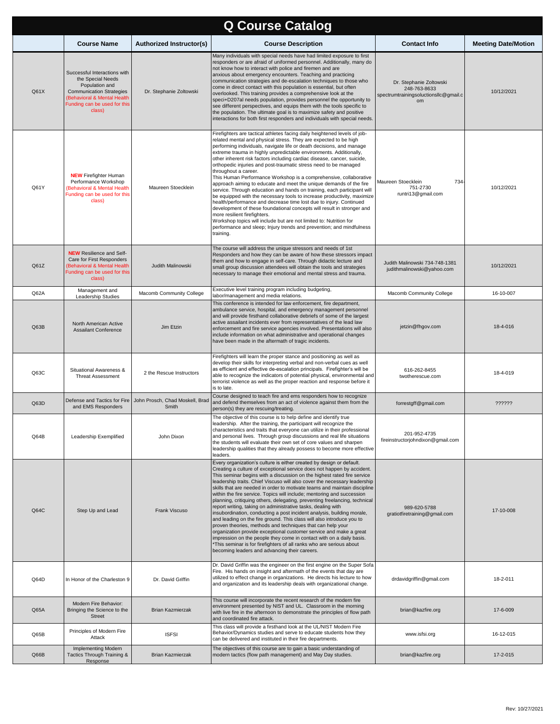| <b>Q Course Catalog</b> |                                                                                                                                                                                 |                                          |                                                                                                                                                                                                                                                                                                                                                                                                                                                                                                                                                                                                                                                                                                                                                                                                                                                                                                                                                                                                                                                                                                                |                                                                                        |                            |  |
|-------------------------|---------------------------------------------------------------------------------------------------------------------------------------------------------------------------------|------------------------------------------|----------------------------------------------------------------------------------------------------------------------------------------------------------------------------------------------------------------------------------------------------------------------------------------------------------------------------------------------------------------------------------------------------------------------------------------------------------------------------------------------------------------------------------------------------------------------------------------------------------------------------------------------------------------------------------------------------------------------------------------------------------------------------------------------------------------------------------------------------------------------------------------------------------------------------------------------------------------------------------------------------------------------------------------------------------------------------------------------------------------|----------------------------------------------------------------------------------------|----------------------------|--|
|                         | <b>Course Name</b>                                                                                                                                                              | <b>Authorized Instructor(s)</b>          | <b>Course Description</b>                                                                                                                                                                                                                                                                                                                                                                                                                                                                                                                                                                                                                                                                                                                                                                                                                                                                                                                                                                                                                                                                                      | <b>Contact Info</b>                                                                    | <b>Meeting Date/Motion</b> |  |
| Q61X                    | Successful Interactions with<br>the Special Needs<br>Population and<br><b>Communication Strategies</b><br>(Behavioral & Mental Health<br>Funding can be used for this<br>class) | Dr. Stephanie Zoltowski                  | Many individuals with special needs have had limited exposure to first<br>responders or are afraid of uniformed personnel. Additionally, many do<br>not know how to interact with police and firemen and are<br>anxious about emergency encounters. Teaching and practicing<br>communication strategies and de-escalation techniques to those who<br>come in direct contact with this population is essential, but often<br>overlooked. This training provides a comprehensive look at the<br>speci+D207al needs population, provides personnel the opportunity to<br>see different perspectives, and equips them with the tools specific to<br>the population. The ultimate goal is to maximize safety and positive<br>interactions for both first responders and individuals with special needs.                                                                                                                                                                                                                                                                                                             | Dr. Stephanie Zoltowski<br>248-763-8633<br>spectrumtrainingsoluctionsllc@gmail.c<br>om | 10/12/2021                 |  |
| Q61Y                    | <b>NEW</b> Firefighter Human<br>Performance Workshop<br>(Behavioral & Mental Health<br>Funding can be used for this<br>class)                                                   | Maureen Stoecklein                       | Firefighters are tactical athletes facing daily heightened levels of job-<br>related mental and physical stress. They are expected to be high<br>performing individuals, navigate life or death decisions, and manage<br>extreme trauma in highly unpredictable environments. Additionally,<br>other inherent risk factors including cardiac disease, cancer, suicide,<br>orthopedic injuries and post-traumatic stress need to be managed<br>throughout a career.<br>This Human Performance Workshop is a comprehensive, collaborative<br>approach aiming to educate and meet the unique demands of the fire<br>service. Through education and hands on training, each participant will<br>be equipped with the necessary tools to increase productivity, maximize<br>health/performance and decrease time lost due to injury. Continued<br>development of these foundational concepts will result in stronger and<br>more resilient firefighters.<br>Workshop topics will include but are not limited to: Nutrition for<br>performance and sleep; Injury trends and prevention; and mindfulness<br>training. | Maureen Stoecklein<br>734<br>751-2730<br>runtri13@gmail.com                            | 10/12/2021                 |  |
| Q61Z                    | <b>NEW</b> Resilience and Self-<br>Care for First Responders<br>(Behavioral & Mental Health)<br>Funding can be used for this<br>class)                                          | <b>Judith Malinowski</b>                 | The course will address the unique stressors and needs of 1st<br>Responders and how they can be aware of how these stressors impact<br>them and how to engage in self-care. Through didactic lecture and<br>small group discussion attendees will obtain the tools and strategies<br>necessary to manage their emotional and mental stress and trauma.                                                                                                                                                                                                                                                                                                                                                                                                                                                                                                                                                                                                                                                                                                                                                         | Judith Malinowski 734-748-1381<br>judithmalinowski@yahoo.com                           | 10/12/2021                 |  |
| Q62A                    | Management and<br>Leadership Studies                                                                                                                                            | Macomb Community College                 | Executive level training program including budgeting,<br>labor/management and media relations.                                                                                                                                                                                                                                                                                                                                                                                                                                                                                                                                                                                                                                                                                                                                                                                                                                                                                                                                                                                                                 | Macomb Community College                                                               | 16-10-007                  |  |
| Q63B                    | North American Active<br><b>Assailant Conference</b>                                                                                                                            | Jim Etzin                                | This conference is intended for law enforcement, fire department,<br>ambulance service, hospital, and emergency management personnel<br>and will provide firsthand collaborative debriefs of some of the largest<br>active assailant incidents ever from representatives of the lead law<br>enforcement and fire service agencies involved. Presentations will also<br>include information on what administrative and operational changes<br>have been made in the aftermath of tragic incidents.                                                                                                                                                                                                                                                                                                                                                                                                                                                                                                                                                                                                              | jetzin@fhgov.com                                                                       | 18-4-016                   |  |
| Q63C                    | Situational Awareness &<br><b>Threat Assessment</b>                                                                                                                             | 2 the Rescue Instructors                 | Firefighters will learn the proper stance and positioning as well as<br>develop their skills for interpreting verbal and non-verbal cues as well<br>as efficient and effective de-escalation principals. Firefighter's will be<br>able to recognize the indicators of potential physical, environmental and<br>terrorist violence as well as the proper reaction and response before it<br>is to late.                                                                                                                                                                                                                                                                                                                                                                                                                                                                                                                                                                                                                                                                                                         | 616-262-8455<br>twotherescue.com                                                       | 18-4-019                   |  |
| Q63D                    | Defense and Tactics for Fire<br>and EMS Responders                                                                                                                              | John Prosch, Chad Moskell, Brad<br>Smith | Course designed to teach fire and ems responders how to recognize<br>and defend themselves from an act of violence against them from the<br>person(s) they are rescuing/treating.                                                                                                                                                                                                                                                                                                                                                                                                                                                                                                                                                                                                                                                                                                                                                                                                                                                                                                                              | forrestgff@gmail.com                                                                   | ??????                     |  |
| Q64B                    | Leadership Exemplified                                                                                                                                                          | John Dixon                               | The objective of this course is to help define and identify true<br>leadership. After the training, the participant will recognize the<br>characteristics and traits that everyone can utilize in their professional<br>and personal lives. Through group discussions and real life situations<br>the students will evaluate their own set of core values and sharpen<br>leadership qualities that they already possess to become more effective<br>leaders.                                                                                                                                                                                                                                                                                                                                                                                                                                                                                                                                                                                                                                                   | 201-952-4735<br>fireinstructorjohndixon@gmail.com                                      |                            |  |
| Q64C                    | Step Up and Lead                                                                                                                                                                | Frank Viscuso                            | Every organization's culture is either created by design or default.<br>Creating a culture of exceptional service does not happen by accident.<br>This seminar begins with a discussion on the highest rated fire service<br>leadership traits. Chief Viscuso will also cover the necessary leadership<br>skills that are needed in order to motivate teams and maintain discipline<br>within the fire service. Topics will include; mentoring and succession<br>planning, critiquing others, delegating, preventing freelancing, technical<br>report writing, taking on administrative tasks, dealing with<br>insubordination, conducting a post incident analysis, building morale,<br>and leading on the fire ground. This class will also introduce you to<br>proven theories, methods and techniques that can help your<br>organization provide exceptional customer service and make a great<br>impression on the people they come in contact with on a daily basis.<br>*This seminar is for firefighters of all ranks who are serious about<br>becoming leaders and advancing their careers.            | 989-620-5788<br>gratiotfiretraining@gmail.com                                          | 17-10-008                  |  |
| Q64D                    | In Honor of the Charleston 9                                                                                                                                                    | Dr. David Griffin                        | Dr. David Griffin was the engineer on the first engine on the Super Sofa<br>Fire. His hands on insight and aftermath of the events that day are<br>utilized to effect change in organizations. He directs his lecture to how<br>and organization and its leadership deals with organizational change.                                                                                                                                                                                                                                                                                                                                                                                                                                                                                                                                                                                                                                                                                                                                                                                                          | drdavidgriffin@gmail.com                                                               | 18-2-011                   |  |
| Q65A                    | Modern Fire Behavior:<br>Bringing the Science to the<br>Street                                                                                                                  | <b>Brian Kazmierzak</b>                  | This course will incorporate the recent research of the modern fire<br>environment presented by NIST and UL. Classroom in the morning<br>with live fire in the afternoon to demonstrate the principles of flow path<br>and coordinated fire attack.                                                                                                                                                                                                                                                                                                                                                                                                                                                                                                                                                                                                                                                                                                                                                                                                                                                            | brian@kazfire.org                                                                      | 17-6-009                   |  |
| Q65B                    | Principles of Modern Fire<br>Attack                                                                                                                                             | <b>ISFSI</b>                             | This class will provide a firsthand look at the UL/NIST Modern Fire<br>Behavior/Dynamics studies and serve to educate students how they<br>can be delivered and instituted in their fire departments.                                                                                                                                                                                                                                                                                                                                                                                                                                                                                                                                                                                                                                                                                                                                                                                                                                                                                                          | www.isfsi.org                                                                          | 16-12-015                  |  |
| Q66B                    | Implementing Modern<br>Tactics Through Training &<br>Response                                                                                                                   | Brian Kazmierzak                         | The objectives of this course are to gain a basic understanding of<br>modern tactics (flow path management) and May Day studies.                                                                                                                                                                                                                                                                                                                                                                                                                                                                                                                                                                                                                                                                                                                                                                                                                                                                                                                                                                               | brian@kazfire.org                                                                      | 17-2-015                   |  |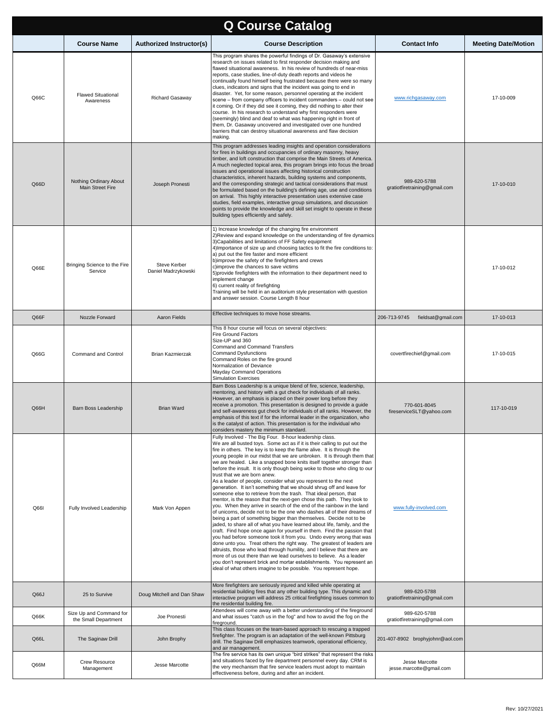| <b>Q Course Catalog</b> |                                                 |                                            |                                                                                                                                                                                                                                                                                                                                                                                                                                                                                                                                                                                                                                                                                                                                                                                                                                                                                                                                                                                                                                                                                                                                                                                                                                                                                                                                                                                                                                                                                                                                                                                                          |                                               |                            |
|-------------------------|-------------------------------------------------|--------------------------------------------|----------------------------------------------------------------------------------------------------------------------------------------------------------------------------------------------------------------------------------------------------------------------------------------------------------------------------------------------------------------------------------------------------------------------------------------------------------------------------------------------------------------------------------------------------------------------------------------------------------------------------------------------------------------------------------------------------------------------------------------------------------------------------------------------------------------------------------------------------------------------------------------------------------------------------------------------------------------------------------------------------------------------------------------------------------------------------------------------------------------------------------------------------------------------------------------------------------------------------------------------------------------------------------------------------------------------------------------------------------------------------------------------------------------------------------------------------------------------------------------------------------------------------------------------------------------------------------------------------------|-----------------------------------------------|----------------------------|
|                         | <b>Course Name</b>                              | <b>Authorized Instructor(s)</b>            | <b>Course Description</b>                                                                                                                                                                                                                                                                                                                                                                                                                                                                                                                                                                                                                                                                                                                                                                                                                                                                                                                                                                                                                                                                                                                                                                                                                                                                                                                                                                                                                                                                                                                                                                                | <b>Contact Info</b>                           | <b>Meeting Date/Motion</b> |
| Q66C                    | <b>Flawed Situational</b><br>Awareness          | <b>Richard Gasaway</b>                     | This program shares the powerful findings of Dr. Gasaway's extensive<br>research on issues related to first responder decision making and<br>flawed situational awareness. In his review of hundreds of near-miss<br>reports, case studies, line-of-duty death reports and videos he<br>continually found himself being frustrated because there were so many<br>clues, indicators and signs that the incident was going to end in<br>disaster. Yet, for some reason, personnel operating at the incident<br>scene - from company officers to incident commanders - could not see<br>it coming. Or if they did see it coming, they did nothing to alter their<br>course. In his research to understand why first responders were<br>(seemingly) blind and deaf to what was happening right in front of<br>them, Dr. Gasaway uncovered and investigated over one hundred<br>barriers that can destroy situational awareness and flaw decision<br>making.                                                                                                                                                                                                                                                                                                                                                                                                                                                                                                                                                                                                                                                  | www.richgasaway.com                           | 17-10-009                  |
| Q66D                    | Nothing Ordinary About<br>Main Street Fire      | Joseph Pronesti                            | This program addresses leading insights and operation considerations<br>for fires in buildings and occupancies of ordinary masonry, heavy<br>timber, and loft construction that comprise the Main Streets of America.<br>A much neglected topical area, this program brings into focus the broad<br>issues and operational issues affecting historical construction<br>characteristics, inherent hazards, building systems and components,<br>and the corresponding strategic and tactical considerations that must<br>be formulated based on the building's defining age, use and conditions<br>on arrival. This highly interactive presentation uses extensive case<br>studies, field examples, interactive group simulations, and discussion<br>points to provide the knowledge and skill set insight to operate in these<br>building types efficiently and safely.                                                                                                                                                                                                                                                                                                                                                                                                                                                                                                                                                                                                                                                                                                                                   | 989-620-5788<br>gratiotfiretraining@gmail.com | 17-10-010                  |
| Q66E                    | Bringing Science to the Fire<br>Service         | <b>Steve Kerber</b><br>Daniel Madrzykowski | 1) Increase knowledge of the changing fire environment<br>2) Review and expand knowledge on the understanding of fire dynamics<br>3) Capabilities and limitations of FF Safety equipment<br>4) Importance of size up and choosing tactics to fit the fire conditions to:<br>a) put out the fire faster and more efficient<br>b)improve the safety of the firefighters and crews<br>c)improve the chances to save victims<br>5) provide firefighters with the information to their department need to<br>implement change<br>6) current reality of firefighting<br>Training will be held in an auditorium style presentation with question<br>and answer session. Course Length 8 hour                                                                                                                                                                                                                                                                                                                                                                                                                                                                                                                                                                                                                                                                                                                                                                                                                                                                                                                    |                                               | 17-10-012                  |
| Q66F                    | Nozzle Forward                                  | Aaron Fields                               | Effective techniques to move hose streams.                                                                                                                                                                                                                                                                                                                                                                                                                                                                                                                                                                                                                                                                                                                                                                                                                                                                                                                                                                                                                                                                                                                                                                                                                                                                                                                                                                                                                                                                                                                                                               | fieldsat@gmail.com<br>206-713-9745            | 17-10-013                  |
| Q66G                    | Command and Control                             | <b>Brian Kazmierzak</b>                    | This 8 hour course will focus on several objectives:<br><b>Fire Ground Factors</b><br>Size-UP and 360<br>Command and Command Transfers<br><b>Command Dysfunctions</b><br>Command Roles on the fire ground<br>Normalization of Deviance<br><b>Mayday Command Operations</b><br><b>Simulation Exercises</b>                                                                                                                                                                                                                                                                                                                                                                                                                                                                                                                                                                                                                                                                                                                                                                                                                                                                                                                                                                                                                                                                                                                                                                                                                                                                                                | covertfirechief@gmail.com                     | 17-10-015                  |
| Q66H                    | Barn Boss Leadership                            | <b>Brian Ward</b>                          | Barn Boss Leadership is a unique blend of fire, science, leadership,<br>mentoring, and history with a gut check for individuals of all ranks.<br>However, an emphasis is placed on their power long before they<br>receive a promotion. This presentation is designed to provide a guide<br>and self-awareness gut check for individuals of all ranks. However, the<br>emphasis of this text if for the informal leader in the organization, who<br>is the catalyst of action. This presentation is for the individual who<br>considers mastery the minimum standard.                                                                                                                                                                                                                                                                                                                                                                                                                                                                                                                                                                                                                                                                                                                                                                                                                                                                                                                                                                                                                                    | 770-601-8045<br>fireserviceSLT@yahoo.com      | 117-10-019                 |
| Q661                    | Fully Involved Leadership                       | Mark Von Appen                             | Fully Involved - The Big Four. 8-hour leadership class.<br>We are all busted toys. Some act as if it is their calling to put out the<br>fire in others. The key is to keep the flame alive. It is through the<br>young people in our midst that we are unbroken. It is through them that<br>we are healed. Like a snapped bone knits itself together stronger than<br>before the insult. It is only though being woke to those who cling to our<br>trust that we are born anew.<br>As a leader of people, consider what you represent to the next<br>generation. It isn't something that we should shrug off and leave for<br>someone else to retrieve from the trash. That ideal person, that<br>mentor, is the reason that the next-gen chose this path. They look to<br>you. When they arrive in search of the end of the rainbow in the land<br>of unicorns, decide not to be the one who dashes all of their dreams of<br>being a part of something bigger than themselves. Decide not to be<br>jaded, to share all of what you have learned about life, family, and the<br>craft. Find hope once again for yourself in them. Find the passion that<br>you had before someone took it from you. Undo every wrong that was<br>done unto you. Treat others the right way. The greatest of leaders are<br>altruists, those who lead through humility, and I believe that there are<br>more of us out there than we lead ourselves to believe. As a leader<br>you don't represent brick and mortar establishments. You represent an<br>ideal of what others imagine to be possible. You represent hope. | www.fully-involved.com                        |                            |
| Q66J                    | 25 to Survive                                   | Doug Mitchell and Dan Shaw                 | More firefighters are seriously injured and killed while operating at<br>residential building fires that any other building type. This dynamic and<br>interactive program will address 25 critical firefighting issues common to<br>the residential building fire.                                                                                                                                                                                                                                                                                                                                                                                                                                                                                                                                                                                                                                                                                                                                                                                                                                                                                                                                                                                                                                                                                                                                                                                                                                                                                                                                       | 989-620-5788<br>gratiotfiretraining@gmail.com |                            |
| Q66K                    | Size Up and Command for<br>the Small Department | Joe Pronesti                               | Attendees will come away with a better understanding of the fireground<br>and what issues "catch us in the fog" and how to avoid the fog on the<br>fireground.                                                                                                                                                                                                                                                                                                                                                                                                                                                                                                                                                                                                                                                                                                                                                                                                                                                                                                                                                                                                                                                                                                                                                                                                                                                                                                                                                                                                                                           | 989-620-5788<br>gratiotfiretraining@gmail.com |                            |
| Q66L                    | The Saginaw Drill                               | John Brophy                                | This class focuses on the team-based approach to rescuing a trapped<br>firefighter. The program is an adaptation of the well-known Pittsburg<br>drill. The Saginaw Drill emphasizes teamwork, operational efficiency,<br>and air management.                                                                                                                                                                                                                                                                                                                                                                                                                                                                                                                                                                                                                                                                                                                                                                                                                                                                                                                                                                                                                                                                                                                                                                                                                                                                                                                                                             | 201-407-8902 brophyjohnr@aol.com              |                            |
| Q66M                    | Crew Resource<br>Management                     | Jesse Marcotte                             | The fire service has its own unique "bird strikes" that represent the risks<br>and situations faced by fire department personnel every day. CRM is<br>the very mechanism that fire service leaders must adopt to maintain<br>effectiveness before, during and after an incident.                                                                                                                                                                                                                                                                                                                                                                                                                                                                                                                                                                                                                                                                                                                                                                                                                                                                                                                                                                                                                                                                                                                                                                                                                                                                                                                         | Jesse Marcotte<br>jesse.marcotte@gmail.com    |                            |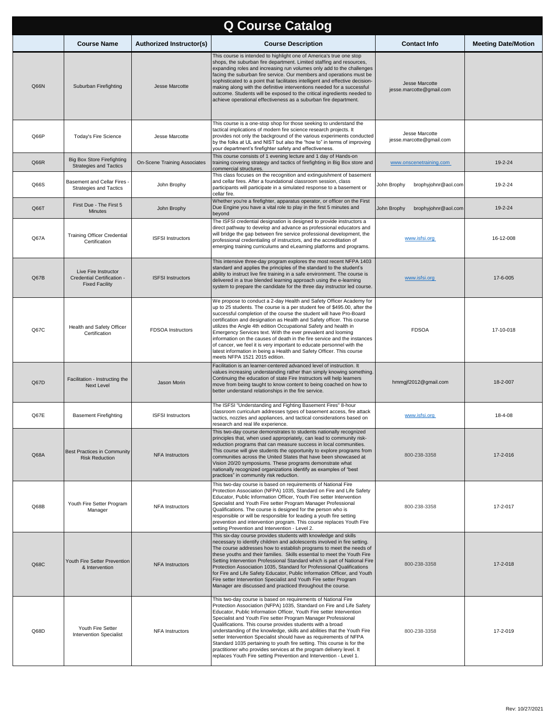| <b>Q Course Catalog</b> |                                                                             |                                     |                                                                                                                                                                                                                                                                                                                                                                                                                                                                                                                                                                                                                                                                                                                        |                                            |                            |
|-------------------------|-----------------------------------------------------------------------------|-------------------------------------|------------------------------------------------------------------------------------------------------------------------------------------------------------------------------------------------------------------------------------------------------------------------------------------------------------------------------------------------------------------------------------------------------------------------------------------------------------------------------------------------------------------------------------------------------------------------------------------------------------------------------------------------------------------------------------------------------------------------|--------------------------------------------|----------------------------|
|                         | <b>Course Name</b>                                                          | <b>Authorized Instructor(s)</b>     | <b>Course Description</b>                                                                                                                                                                                                                                                                                                                                                                                                                                                                                                                                                                                                                                                                                              | <b>Contact Info</b>                        | <b>Meeting Date/Motion</b> |
| Q66N                    | Suburban Firefighting                                                       | Jesse Marcotte                      | This course is intended to highlight one of America's true one stop<br>shops, the suburban fire department. Limited staffing and resources,<br>expanding roles and increasing run volumes only add to the challenges<br>facing the suburban fire service. Our members and operations must be<br>sophisticated to a point that facilitates intelligent and effective decision-<br>making along with the definitive interventions needed for a successful<br>outcome. Students will be exposed to the critical ingredients needed to<br>achieve operational effectiveness as a suburban fire department.                                                                                                                 | Jesse Marcotte<br>jesse.marcotte@gmail.com |                            |
| Q66P                    | Today's Fire Science                                                        | Jesse Marcotte                      | This course is a one-stop shop for those seeking to understand the<br>tactical implications of modern fire science research projects. It<br>provides not only the background of the various experiments conducted<br>by the folks at UL and NIST but also the "how to" in terms of improving<br>your department's firefighter safety and effectiveness.                                                                                                                                                                                                                                                                                                                                                                | Jesse Marcotte<br>jesse.marcotte@gmail.com |                            |
| Q66R                    | <b>Big Box Store Firefighting</b><br><b>Strategies and Tactics</b>          | <b>On-Scene Training Associates</b> | This course consists of 1 evening lecture and 1 day of Hands-on<br>training covering strategy and tactics of firefighting in Big Box store and<br>commercial structures.                                                                                                                                                                                                                                                                                                                                                                                                                                                                                                                                               | www.onscenetraining.com                    | 19-2-24                    |
| Q66S                    | Basement and Cellar Fires<br><b>Strategies and Tactics</b>                  | John Brophy                         | This class focuses on the recognition and extinguishment of basement<br>and cellar fires. After a foundational classroom session, class<br>participants will participate in a simulated response to a basement or<br>cellar fire.                                                                                                                                                                                                                                                                                                                                                                                                                                                                                      | John Brophy<br>brophyjohnr@aol.com         | 19-2-24                    |
| Q66T                    | First Due - The First 5<br>Minutes                                          | John Brophy                         | Whether you're a firefighter, apparatus operator, or officer on the First<br>Due Engine you have a vital role to play in the first 5 minutes and<br>beyond                                                                                                                                                                                                                                                                                                                                                                                                                                                                                                                                                             | John Brophy<br>brophyjohnr@aol.com         | 19-2-24                    |
| Q67A                    | <b>Training Officer Credential</b><br>Certification                         | <b>ISFSI Instructors</b>            | The ISFSI credential designation is designed to provide instructors a<br>direct pathway to develop and advance as professional educators and<br>will bridge the gap between fire service professional development, the<br>professional credentialing of instructors, and the accreditation of<br>emerging training curriculums and eLearning platforms and programs.                                                                                                                                                                                                                                                                                                                                                   | www.isfsi.org                              | 16-12-008                  |
| Q67B                    | Live Fire Instructor<br>Credential Certification -<br><b>Fixed Facility</b> | <b>ISFSI Instructors</b>            | This intensive three-day program explores the most recent NFPA 1403<br>standard and applies the principles of the standard to the student's<br>ability to instruct live fire training in a safe environment. The course is<br>delivered in a true blended learning approach using the e-learning<br>system to prepare the candidate for the three day instructor led course.                                                                                                                                                                                                                                                                                                                                           | www.isfsi.org                              | 17-6-005                   |
| Q67C                    | Health and Safety Officer<br>Certification                                  | FDSOA Instructors                   | We propose to conduct a 2-day Health and Safety Officer Academy for<br>up to 25 students. The course is a per student fee of \$495.00, after the<br>successful completion of the course the student will have Pro-Board<br>certification and designation as Health and Safety officer. This course<br>utilizes the Angle 4th edition Occupational Safety and health in<br>Emergency Services text. With the ever prevalent and looming<br>information on the causes of death in the fire service and the instances<br>of cancer, we feel it is very important to educate personnel with the<br>latest information in being a Health and Safety Officer. This course<br>meets NFPA 1521 2015 edition.                   | <b>FDSOA</b>                               | 17-10-018                  |
| Q67D                    | Facilitation - Instructing the<br><b>Next Level</b>                         | Jason Morin                         | Facilitation is an learner-centered advanced level of instruction. It<br>values increasing understanding rather than simply knowing something.<br>Continuing the education of state Fire Instructors will help learners<br>move from being taught to know content to being coached on how to<br>better understand relationships in the fire service.                                                                                                                                                                                                                                                                                                                                                                   | hmmgjf2012@gmail.com                       | 18-2-007                   |
| Q67E                    | <b>Basement Firefighting</b>                                                | <b>ISFSI Instructors</b>            | The ISFSI "Understanding and Fighting Basement Fires" 8-hour<br>classroom curriculum addresses types of basement access, fire attack<br>tactics, nozzles and appliances, and tactical considerations based on<br>research and real life experience.                                                                                                                                                                                                                                                                                                                                                                                                                                                                    | www.isfsi.org                              | 18-4-08                    |
| Q68A                    | Best Practices in Community<br><b>Risk Reduction</b>                        | <b>NFA Instructors</b>              | This two-day course demonstrates to students nationally recognized<br>principles that, when used appropriately, can lead to community risk-<br>reduction programs that can measure success in local communities.<br>This course will give students the opportunity to explore programs from<br>communities across the United States that have been showcased at<br>Vision 20/20 symposiums. These programs demonstrate what<br>nationally recognized organizations identify as examples of "best<br>practices" in community risk reduction.                                                                                                                                                                            | 800-238-3358                               | 17-2-016                   |
| Q68B                    | Youth Fire Setter Program<br>Manager                                        | <b>NFA Instructors</b>              | This two-day course is based on requirements of National Fire<br>Protection Association (NFPA) 1035, Standard on Fire and Life Safety<br>Educator, Public Information Officer, Youth Fire setter Intervention<br>Specialist and Youth Fire setter Program Manager Professional<br>Qualifications. The course is designed for the person who is<br>responsible or will be responsible for leading a youth fire setting<br>prevention and intervention program. This course replaces Youth Fire<br>setting Prevention and Intervention - Level 2.                                                                                                                                                                        | 800-238-3358                               | 17-2-017                   |
| Q68C                    | Youth Fire Setter Prevention<br>& Intervention                              | <b>NFA Instructors</b>              | This six-day course provides students with knowledge and skills<br>necessary to identify children and adolescents involved in fire setting.<br>The course addresses how to establish programs to meet the needs of<br>these youths and their families. Skills essential to meet the Youth Fire<br>Setting Intervention Professional Standard which is part of National Fire<br>Protection Association 1035, Standard for Professional Qualifications<br>for Fire and Life Safety Educator, Public Information Officer, and Youth<br>Fire setter Intervention Specialist and Youth Fire setter Program<br>Manager are discussed and practiced throughout the course.                                                    | 800-238-3358                               | 17-2-018                   |
| Q68D                    | Youth Fire Setter<br><b>Intervention Specialist</b>                         | <b>NFA Instructors</b>              | This two-day course is based on requirements of National Fire<br>Protection Association (NFPA) 1035, Standard on Fire and Life Safety<br>Educator, Public Information Officer, Youth Fire setter Intervention<br>Specialist and Youth Fire setter Program Manager Professional<br>Qualifications. This course provides students with a broad<br>understanding of the knowledge, skills and abilities that the Youth Fire<br>setter Intervention Specialist should have as requirements of NFPA<br>Standard 1035 pertaining to youth fire setting. This course is for the<br>practitioner who provides services at the program delivery level. It<br>replaces Youth Fire setting Prevention and Intervention - Level 1. | 800-238-3358                               | 17-2-019                   |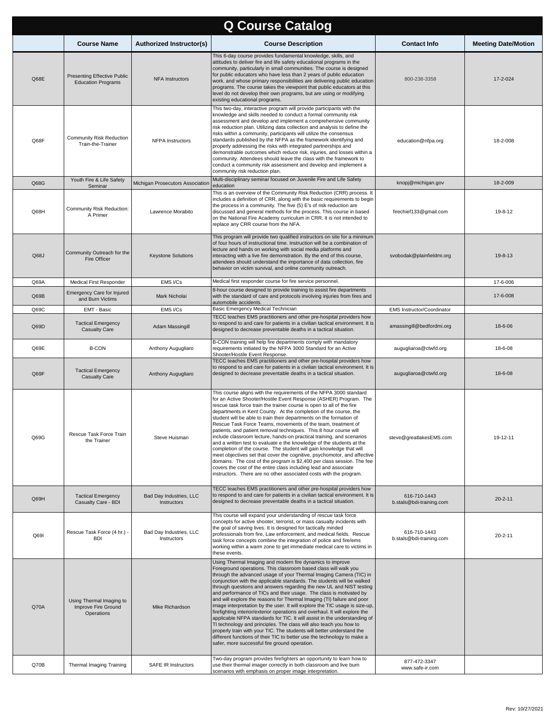| <b>Q Course Catalog</b> |                                                               |                                        |                                                                                                                                                                                                                                                                                                                                                                                                                                                                                                                                                                                                                                                                                                                                                                                                                                                                                                                                                                                                                                                                                                   |                                          |                            |  |
|-------------------------|---------------------------------------------------------------|----------------------------------------|---------------------------------------------------------------------------------------------------------------------------------------------------------------------------------------------------------------------------------------------------------------------------------------------------------------------------------------------------------------------------------------------------------------------------------------------------------------------------------------------------------------------------------------------------------------------------------------------------------------------------------------------------------------------------------------------------------------------------------------------------------------------------------------------------------------------------------------------------------------------------------------------------------------------------------------------------------------------------------------------------------------------------------------------------------------------------------------------------|------------------------------------------|----------------------------|--|
|                         | <b>Course Name</b>                                            | <b>Authorized Instructor(s)</b>        | <b>Course Description</b>                                                                                                                                                                                                                                                                                                                                                                                                                                                                                                                                                                                                                                                                                                                                                                                                                                                                                                                                                                                                                                                                         | <b>Contact Info</b>                      | <b>Meeting Date/Motion</b> |  |
| Q68E                    | Presenting Effective Public<br><b>Education Programs</b>      | <b>NFA Instructors</b>                 | This 6-day course provides fundamental knowledge, skills, and<br>attitudes to deliver fire and life safety educational programs in the<br>community, particularly in small communities. The course is designed<br>for public educators who have less than 2 years of public education<br>work, and whose primary responsibilities are delivering public education<br>programs. The course takes the viewpoint that public educators at this<br>level do not develop their own programs, but are using or modifying<br>existing educational programs.                                                                                                                                                                                                                                                                                                                                                                                                                                                                                                                                              | 800-238-3358                             | 17-2-024                   |  |
| Q68F                    | <b>Community Risk Reduction</b><br>Train-the-Trainer          | <b>NFPA</b> Instructors                | This two-day, interactive program will provide participants with the<br>knowledge and skills needed to conduct a formal community risk<br>assessment and develop and implement a comprehensive community<br>risk reduction plan. Utilizing data collection and analysis to define the<br>risks within a community, participants will utilize the consensus<br>standards published by the NFPA as the framework identifying and<br>properly addressing the risks with integrated partnerships and<br>demonstrable outcomes which reduce risk, injuries, and losses within a<br>community. Attendees should leave the class with the framework to<br>conduct a community risk assessment and develop and implement a<br>community risk reduction plan.                                                                                                                                                                                                                                                                                                                                              | education@nfpa.org                       | 18-2-008                   |  |
| Q68G                    | Youth Fire & Life Safety<br>Seminar                           | Michigan Prosecutors Association       | Multi-disciplinary seminar focused on Juvenile Fire and Life Safety<br>education                                                                                                                                                                                                                                                                                                                                                                                                                                                                                                                                                                                                                                                                                                                                                                                                                                                                                                                                                                                                                  | knopj@michigan.gov                       | 18-2-009                   |  |
| Q68H                    | Community Risk Reduction:<br>A Primer                         | Lawrence Morabito                      | This is an overview of the Community Risk Reduction (CRR) process. It<br>includes a definition of CRR, along with the basic requirements to begin<br>the process in a community. The five (5) E's of risk reduction are<br>discussed and general methods for the process. This course in based<br>on the National Fire Academy curriculum in CRR. It is not intended to<br>replace any CRR course from the NFA.                                                                                                                                                                                                                                                                                                                                                                                                                                                                                                                                                                                                                                                                                   | firechief133@gmail.com                   | 19-8-12                    |  |
| Q68J                    | Community Outreach for the<br><b>Fire Officer</b>             | <b>Keystone Solutions</b>              | This program will provide two qualified instructors on site for a minimum<br>of four hours of instructional time. Instruction will be a combination of<br>lecture and hands on working with social media platforms and<br>interacting with a live fire demonstration. By the end of this course,<br>attendees should understand the importance of data collection, fire<br>behavior on victim survival, and online community outreach.                                                                                                                                                                                                                                                                                                                                                                                                                                                                                                                                                                                                                                                            | svobodak@plainfieldmi.org                | 19-8-13                    |  |
| Q69A                    | Medical First Responder                                       | EMS I/Cs                               | Medical first responder course for fire service personnel.<br>8-hour course designed to provide training to assist fire departments                                                                                                                                                                                                                                                                                                                                                                                                                                                                                                                                                                                                                                                                                                                                                                                                                                                                                                                                                               |                                          | 17-6-006                   |  |
| Q69B                    | Emergency Care for Injured<br>and Burn Victims                | Mark Nicholai                          | with the standard of care and protocols involving injuries from fires and<br>automobile accidents.                                                                                                                                                                                                                                                                                                                                                                                                                                                                                                                                                                                                                                                                                                                                                                                                                                                                                                                                                                                                |                                          | 17-6-008                   |  |
| Q69C                    | EMT - Basic                                                   | EMS I/Cs                               | Basic Emergency Medical Technician<br>TECC teaches EMS practitioners and other pre-hospital providers how                                                                                                                                                                                                                                                                                                                                                                                                                                                                                                                                                                                                                                                                                                                                                                                                                                                                                                                                                                                         | EMS Instructor/Coordinator               |                            |  |
| Q69D                    | <b>Tactical Emergency</b><br><b>Casualty Care</b>             | Adam Massingill                        | to respond to and care for patients in a civilian tactical environment. It is<br>designed to decrease preventable deaths in a tactical situation.                                                                                                                                                                                                                                                                                                                                                                                                                                                                                                                                                                                                                                                                                                                                                                                                                                                                                                                                                 | amassingill@bedfordmi.org                | 18-6-06                    |  |
| Q69E                    | <b>B-CON</b>                                                  | Anthony Augugliaro                     | B-CON training will help fire departments comply with mandatory<br>requirements initiated by the NFPA 3000 Standard for an Active<br>Shooter/Hostile Event Response.                                                                                                                                                                                                                                                                                                                                                                                                                                                                                                                                                                                                                                                                                                                                                                                                                                                                                                                              | augugliaroa@ctwfd.org                    | 18-6-08                    |  |
| Q69F                    | <b>Tactical Emergency</b><br><b>Casualty Care</b>             | Anthony Augugliaro                     | TECC teaches EMS practitioners and other pre-hospital providers how<br>to respond to and care for patients in a civilian tactical environment. It is<br>designed to decrease preventable deaths in a tactical situation.                                                                                                                                                                                                                                                                                                                                                                                                                                                                                                                                                                                                                                                                                                                                                                                                                                                                          | augugliaroa@ctwfd.org                    | 18-6-08                    |  |
| Q69G                    | Rescue Task Force Train<br>the Trainer                        | Steve Huisman                          | This course aligns with the requirements of the NFPA 3000 standard<br>for an Active Shooter/Hostile Event Response (ASHER) Program. The<br>rescue task force train the trainer course is open to all of the fire<br>departments in Kent County. At the completion of the course, the<br>student will be able to train their departments on the formation of<br>Rescue Task Force Teams, movements of the team, treatment of<br>patients, and patient removal techniques. This 8 hour course will<br>include classroom lecture, hands-on practical training, and scenarios<br>and a written test to evaluate e the knowledge of the students at the<br>completion of the course. The student will gain knowledge that will<br>meet objectives set that cover the cognitive, psychomotor, and affective<br>domains. The cost of the program is \$2,400 per class session. The fee<br>covers the cost of the entire class including lead and associate<br>instructors. There are no other associated costs with the program.                                                                         | steve@greatlakesEMS.com                  | 19-12-11                   |  |
| Q69H                    | <b>Tactical Emergency</b><br>Casualty Care - BDI              | Bad Day Industries, LLC<br>Instructors | TECC teaches EMS practitioners and other pre-hospital providers how<br>to respond to and care for patients in a civilian tactical environment. It is<br>designed to decrease preventable deaths in a tactical situation.                                                                                                                                                                                                                                                                                                                                                                                                                                                                                                                                                                                                                                                                                                                                                                                                                                                                          | 616-710-1443<br>b.stals@bdi-training.com | $20 - 2 - 11$              |  |
| Q69I                    | Rescue Task Force (4 hr.) -<br><b>BDI</b>                     | Bad Day Industries, LLC<br>Instructors | This course will expand your understanding of rescue task force<br>concepts for active shooter, terrorist, or mass casualty incidents with<br>the goal of saving lives. It is designed for tactically minded<br>professionals from fire, Law enforcement, and medical fields. Rescue<br>task force concepts combine the integration of police and fire/ems<br>working within a warm zone to get immediate medical care to victims in<br>these events.                                                                                                                                                                                                                                                                                                                                                                                                                                                                                                                                                                                                                                             | 616-710-1443<br>b.stals@bdi-training.com | $20 - 2 - 11$              |  |
| Q70A                    | Using Thermal Imaging to<br>Improve Fire Ground<br>Operations | Mike Richardson                        | Using Thermal Imaging and modern fire dynamics to improve<br>Foreground operations. This classroom based class will walk you<br>through the advanced usage of your Thermal Imaging Camera (TIC) in<br>conjunction with the applicable standards. The students will be walked<br>through questions and answers regarding the new UL and NIST testing<br>and performance of TICs and their usage. The class is motivated by<br>and will explore the reasons for Thermal Imaging (TI) failure and poor<br>image interpretation by the user. It will explore the TIC usage is size-up,<br>firefighting interior/exterior operations and overhaul. It will explore the<br>applicable NFPA standards for TIC. It will assist in the understanding of<br>TI technology and principles. The class will also teach you how to<br>properly train with your TIC. The students will better understand the<br>different functions of their TIC to better use the technology to make a<br>safer, more successful fire ground operation.<br>Two-day program provides firefighters an opportunity to learn how to | 877-472-3347                             |                            |  |
| Q70B                    | Thermal Imaging Training                                      | SAFE IR Instructors                    | use their thermal imager correctly in both classroom and live burn<br>scenarios with emphasis on proper image interpretation.                                                                                                                                                                                                                                                                                                                                                                                                                                                                                                                                                                                                                                                                                                                                                                                                                                                                                                                                                                     | www.safe-ir.com                          |                            |  |